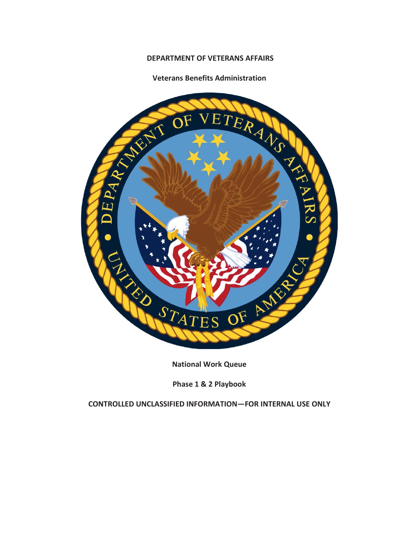# **DEPARTMENT OF VETERANS AFFAIRS**

#### **Veterans Benefits Administration**



**National Work Queue** 

**Phase 1 & 2 Playbook** 

**CONTROLLED UNCLASSIFIED INFORMATION—FOR INTERNAL USE ONLY**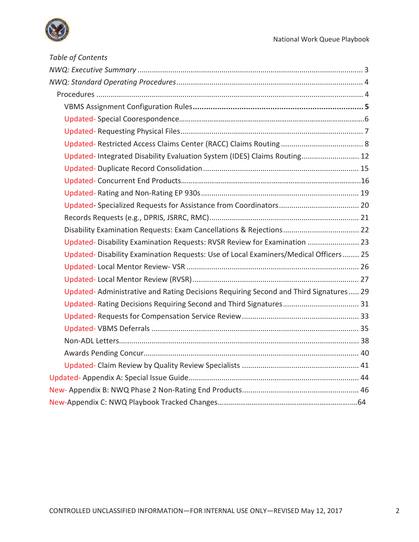

| Table of Contents                                                                    |
|--------------------------------------------------------------------------------------|
|                                                                                      |
|                                                                                      |
|                                                                                      |
|                                                                                      |
|                                                                                      |
|                                                                                      |
|                                                                                      |
| Updated-Integrated Disability Evaluation System (IDES) Claims Routing 12             |
|                                                                                      |
|                                                                                      |
|                                                                                      |
|                                                                                      |
|                                                                                      |
|                                                                                      |
| Updated-Disability Examination Requests: RVSR Review for Examination  23             |
| Updated-Disability Examination Requests: Use of Local Examiners/Medical Officers 25  |
|                                                                                      |
|                                                                                      |
| Updated-Administrative and Rating Decisions Requiring Second and Third Signatures 29 |
|                                                                                      |
|                                                                                      |
|                                                                                      |
|                                                                                      |
|                                                                                      |
|                                                                                      |
|                                                                                      |
|                                                                                      |
|                                                                                      |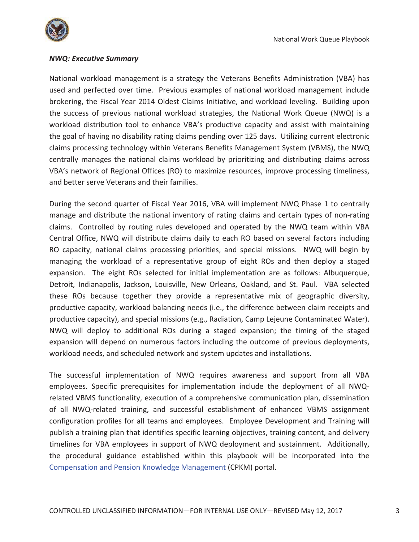

## *NWQ: Executive Summary*

National workload management is a strategy the Veterans Benefits Administration (VBA) has used and perfected over time. Previous examples of national workload management include brokering, the Fiscal Year 2014 Oldest Claims Initiative, and workload leveling. Building upon the success of previous national workload strategies, the National Work Queue (NWQ) is a workload distribution tool to enhance VBA's productive capacity and assist with maintaining the goal of having no disability rating claims pending over 125 days. Utilizing current electronic claims processing technology within Veterans Benefits Management System (VBMS), the NWQ centrally manages the national claims workload by prioritizing and distributing claims across VBA's network of Regional Offices (RO) to maximize resources, improve processing timeliness, and better serve Veterans and their families.

During the second quarter of Fiscal Year 2016, VBA will implement NWQ Phase 1 to centrally manage and distribute the national inventory of rating claims and certain types of non-rating claims. Controlled by routing rules developed and operated by the NWQ team within VBA Central Office, NWQ will distribute claims daily to each RO based on several factors including RO capacity, national claims processing priorities, and special missions. NWQ will begin by managing the workload of a representative group of eight ROs and then deploy a staged expansion. The eight ROs selected for initial implementation are as follows: Albuquerque, Detroit, Indianapolis, Jackson, Louisville, New Orleans, Oakland, and St. Paul. VBA selected these ROs because together they provide a representative mix of geographic diversity, productive capacity, workload balancing needs (i.e., the difference between claim receipts and productive capacity), and special missions (e.g., Radiation, Camp Lejeune Contaminated Water). NWQ will deploy to additional ROs during a staged expansion; the timing of the staged expansion will depend on numerous factors including the outcome of previous deployments, workload needs, and scheduled network and system updates and installations.

The successful implementation of NWQ requires awareness and support from all VBA employees. Specific prerequisites for implementation include the deployment of all NWQrelated VBMS functionality, execution of a comprehensive communication plan, dissemination of all NWQ-related training, and successful establishment of enhanced VBMS assignment configuration profiles for all teams and employees. Employee Development and Training will publish a training plan that identifies specific learning objectives, training content, and delivery timelines for VBA employees in support of NWQ deployment and sustainment. Additionally, the procedural guidance established within this playbook will be incorporated into the Compensation and Pension Knowledge Management (CPKM) portal.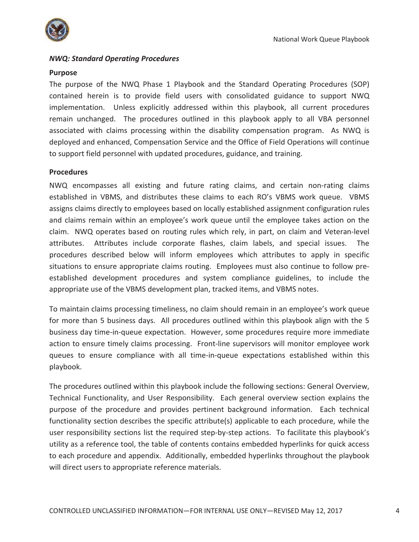

# *NWQ: Standard Operating Procedures*

### **Purpose**

The purpose of the NWQ Phase 1 Playbook and the Standard Operating Procedures (SOP) contained herein is to provide field users with consolidated guidance to support NWQ implementation. Unless explicitly addressed within this playbook, all current procedures remain unchanged. The procedures outlined in this playbook apply to all VBA personnel associated with claims processing within the disability compensation program. As NWQ is deployed and enhanced, Compensation Service and the Office of Field Operations will continue to support field personnel with updated procedures, guidance, and training.

#### **Procedures**

NWQ encompasses all existing and future rating claims, and certain non-rating claims established in VBMS, and distributes these claims to each RO's VBMS work queue. VBMS assigns claims directly to employees based on locally established assignment configuration rules and claims remain within an employee's work queue until the employee takes action on the claim. NWQ operates based on routing rules which rely, in part, on claim and Veteran-level attributes. Attributes include corporate flashes, claim labels, and special issues. The procedures described below will inform employees which attributes to apply in specific situations to ensure appropriate claims routing. Employees must also continue to follow preestablished development procedures and system compliance guidelines, to include the appropriate use of the VBMS development plan, tracked items, and VBMS notes.

To maintain claims processing timeliness, no claim should remain in an employee's work queue for more than 5 business days. All procedures outlined within this playbook align with the 5 business day time-in-queue expectation. However, some procedures require more immediate action to ensure timely claims processing. Front-line supervisors will monitor employee work queues to ensure compliance with all time-in-queue expectations established within this playbook.

The procedures outlined within this playbook include the following sections: General Overview, Technical Functionality, and User Responsibility. Each general overview section explains the purpose of the procedure and provides pertinent background information. Each technical functionality section describes the specific attribute(s) applicable to each procedure, while the user responsibility sections list the required step-by-step actions. To facilitate this playbook's utility as a reference tool, the table of contents contains embedded hyperlinks for quick access to each procedure and appendix. Additionally, embedded hyperlinks throughout the playbook will direct users to appropriate reference materials.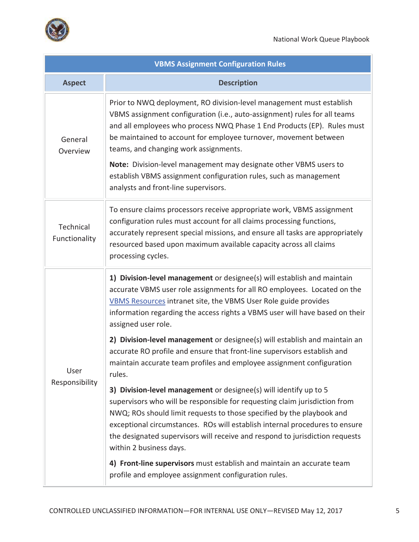

| <b>VBMS Assignment Configuration Rules</b> |                                                                                                                                                                                                                                                                                                                                                                                                                                                                                                                             |  |
|--------------------------------------------|-----------------------------------------------------------------------------------------------------------------------------------------------------------------------------------------------------------------------------------------------------------------------------------------------------------------------------------------------------------------------------------------------------------------------------------------------------------------------------------------------------------------------------|--|
| <b>Aspect</b>                              | <b>Description</b>                                                                                                                                                                                                                                                                                                                                                                                                                                                                                                          |  |
| General<br>Overview                        | Prior to NWQ deployment, RO division-level management must establish<br>VBMS assignment configuration (i.e., auto-assignment) rules for all teams<br>and all employees who process NWQ Phase 1 End Products (EP). Rules must<br>be maintained to account for employee turnover, movement between<br>teams, and changing work assignments.<br>Note: Division-level management may designate other VBMS users to<br>establish VBMS assignment configuration rules, such as management<br>analysts and front-line supervisors. |  |
| Technical<br>Functionality                 | To ensure claims processors receive appropriate work, VBMS assignment<br>configuration rules must account for all claims processing functions,<br>accurately represent special missions, and ensure all tasks are appropriately<br>resourced based upon maximum available capacity across all claims<br>processing cycles.                                                                                                                                                                                                  |  |
| User<br>Responsibility                     | 1) Division-level management or designee(s) will establish and maintain<br>accurate VBMS user role assignments for all RO employees. Located on the<br>VBMS Resources intranet site, the VBMS User Role guide provides<br>information regarding the access rights a VBMS user will have based on their<br>assigned user role.                                                                                                                                                                                               |  |
|                                            | 2) Division-level management or designee(s) will establish and maintain an<br>accurate RO profile and ensure that front-line supervisors establish and<br>maintain accurate team profiles and employee assignment configuration<br>rules.                                                                                                                                                                                                                                                                                   |  |
|                                            | 3) Division-level management or designee(s) will identify up to 5<br>supervisors who will be responsible for requesting claim jurisdiction from<br>NWQ; ROs should limit requests to those specified by the playbook and<br>exceptional circumstances. ROs will establish internal procedures to ensure<br>the designated supervisors will receive and respond to jurisdiction requests<br>within 2 business days.                                                                                                          |  |
|                                            | 4) Front-line supervisors must establish and maintain an accurate team<br>profile and employee assignment configuration rules.                                                                                                                                                                                                                                                                                                                                                                                              |  |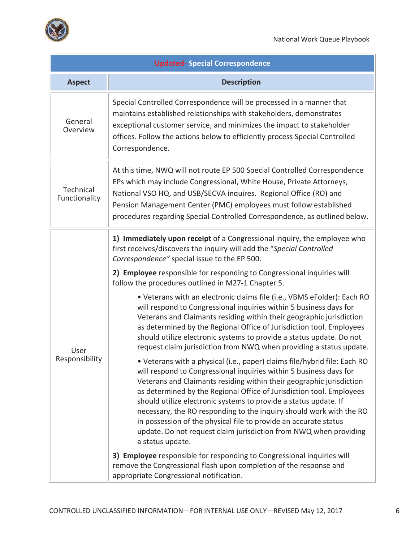

| <b>Updated- Special Correspondence</b> |                                                                                                                                                                                                                                                                                                                                                                                                                                                                                                                                                                                                                                                                                                                                                                                                                                                                                                                                                                                                                                                                                                                                                                                                                                                                                                                                                                                                                                                                        |  |
|----------------------------------------|------------------------------------------------------------------------------------------------------------------------------------------------------------------------------------------------------------------------------------------------------------------------------------------------------------------------------------------------------------------------------------------------------------------------------------------------------------------------------------------------------------------------------------------------------------------------------------------------------------------------------------------------------------------------------------------------------------------------------------------------------------------------------------------------------------------------------------------------------------------------------------------------------------------------------------------------------------------------------------------------------------------------------------------------------------------------------------------------------------------------------------------------------------------------------------------------------------------------------------------------------------------------------------------------------------------------------------------------------------------------------------------------------------------------------------------------------------------------|--|
| <b>Aspect</b>                          | <b>Description</b>                                                                                                                                                                                                                                                                                                                                                                                                                                                                                                                                                                                                                                                                                                                                                                                                                                                                                                                                                                                                                                                                                                                                                                                                                                                                                                                                                                                                                                                     |  |
| General<br>Overview                    | Special Controlled Correspondence will be processed in a manner that<br>maintains established relationships with stakeholders, demonstrates<br>exceptional customer service, and minimizes the impact to stakeholder<br>offices. Follow the actions below to efficiently process Special Controlled<br>Correspondence.                                                                                                                                                                                                                                                                                                                                                                                                                                                                                                                                                                                                                                                                                                                                                                                                                                                                                                                                                                                                                                                                                                                                                 |  |
| Technical<br>Functionality             | At this time, NWQ will not route EP 500 Special Controlled Correspondence<br>EPs which may include Congressional, White House, Private Attorneys,<br>National VSO HQ, and USB/SECVA inquires. Regional Office (RO) and<br>Pension Management Center (PMC) employees must follow established<br>procedures regarding Special Controlled Correspondence, as outlined below.                                                                                                                                                                                                                                                                                                                                                                                                                                                                                                                                                                                                                                                                                                                                                                                                                                                                                                                                                                                                                                                                                              |  |
| User<br>Responsibility                 | 1) Immediately upon receipt of a Congressional inquiry, the employee who<br>first receives/discovers the inquiry will add the "Special Controlled<br>Correspondence" special issue to the EP 500.<br>2) Employee responsible for responding to Congressional inquiries will<br>follow the procedures outlined in M27-1 Chapter 5.<br>. Veterans with an electronic claims file (i.e., VBMS eFolder): Each RO<br>will respond to Congressional inquiries within 5 business days for<br>Veterans and Claimants residing within their geographic jurisdiction<br>as determined by the Regional Office of Jurisdiction tool. Employees<br>should utilize electronic systems to provide a status update. Do not<br>request claim jurisdiction from NWQ when providing a status update.<br>· Veterans with a physical (i.e., paper) claims file/hybrid file: Each RO<br>will respond to Congressional inquiries within 5 business days for<br>Veterans and Claimants residing within their geographic jurisdiction<br>as determined by the Regional Office of Jurisdiction tool. Employees<br>should utilize electronic systems to provide a status update. If<br>necessary, the RO responding to the inquiry should work with the RO<br>in possession of the physical file to provide an accurate status<br>update. Do not request claim jurisdiction from NWQ when providing<br>a status update.<br>3) Employee responsible for responding to Congressional inquiries will |  |
|                                        | remove the Congressional flash upon completion of the response and<br>appropriate Congressional notification.                                                                                                                                                                                                                                                                                                                                                                                                                                                                                                                                                                                                                                                                                                                                                                                                                                                                                                                                                                                                                                                                                                                                                                                                                                                                                                                                                          |  |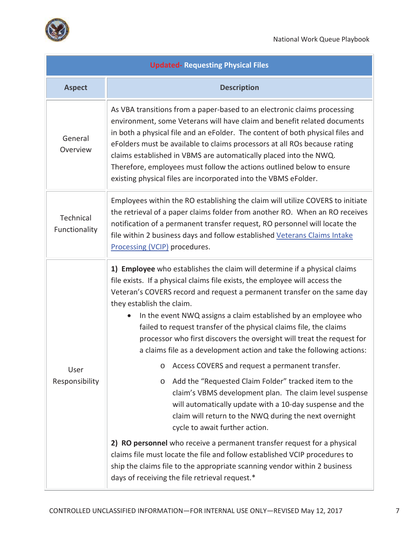

| <b>Updated-Requesting Physical Files</b> |                                                                                                                                                                                                                                                                                                                                                                                                                                                                                                                                                               |  |
|------------------------------------------|---------------------------------------------------------------------------------------------------------------------------------------------------------------------------------------------------------------------------------------------------------------------------------------------------------------------------------------------------------------------------------------------------------------------------------------------------------------------------------------------------------------------------------------------------------------|--|
| <b>Aspect</b>                            | <b>Description</b>                                                                                                                                                                                                                                                                                                                                                                                                                                                                                                                                            |  |
| General<br>Overview                      | As VBA transitions from a paper-based to an electronic claims processing<br>environment, some Veterans will have claim and benefit related documents<br>in both a physical file and an eFolder. The content of both physical files and<br>eFolders must be available to claims processors at all ROs because rating<br>claims established in VBMS are automatically placed into the NWQ.<br>Therefore, employees must follow the actions outlined below to ensure<br>existing physical files are incorporated into the VBMS eFolder.                          |  |
| Technical<br>Functionality               | Employees within the RO establishing the claim will utilize COVERS to initiate<br>the retrieval of a paper claims folder from another RO. When an RO receives<br>notification of a permanent transfer request, RO personnel will locate the<br>file within 2 business days and follow established Veterans Claims Intake<br>Processing (VCIP) procedures.                                                                                                                                                                                                     |  |
|                                          | 1) Employee who establishes the claim will determine if a physical claims<br>file exists. If a physical claims file exists, the employee will access the<br>Veteran's COVERS record and request a permanent transfer on the same day<br>they establish the claim.<br>In the event NWQ assigns a claim established by an employee who<br>failed to request transfer of the physical claims file, the claims<br>processor who first discovers the oversight will treat the request for<br>a claims file as a development action and take the following actions: |  |
| User                                     | o Access COVERS and request a permanent transfer.                                                                                                                                                                                                                                                                                                                                                                                                                                                                                                             |  |
| Responsibility                           | Add the "Requested Claim Folder" tracked item to the<br>$\circ$<br>claim's VBMS development plan. The claim level suspense<br>will automatically update with a 10-day suspense and the<br>claim will return to the NWQ during the next overnight<br>cycle to await further action.                                                                                                                                                                                                                                                                            |  |
|                                          | 2) RO personnel who receive a permanent transfer request for a physical<br>claims file must locate the file and follow established VCIP procedures to<br>ship the claims file to the appropriate scanning vendor within 2 business<br>days of receiving the file retrieval request.*                                                                                                                                                                                                                                                                          |  |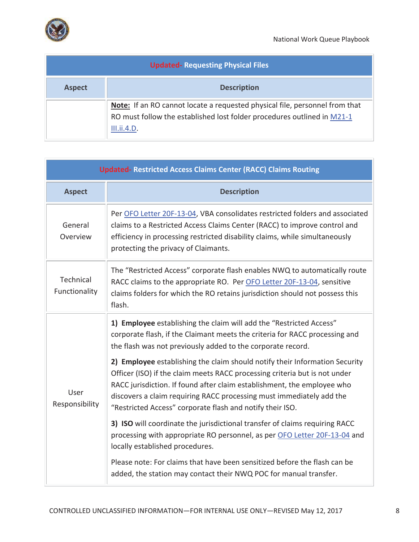

|               | <b>Updated-Requesting Physical Files</b>                                                                                                                              |
|---------------|-----------------------------------------------------------------------------------------------------------------------------------------------------------------------|
| <b>Aspect</b> | <b>Description</b>                                                                                                                                                    |
|               | Note: If an RO cannot locate a requested physical file, personnel from that<br>RO must follow the established lost folder procedures outlined in M21-1<br>III.ii.4.D. |

| <b>Updated- Restricted Access Claims Center (RACC) Claims Routing</b> |                                                                                                                                                                                                                                                                                                                                                                           |
|-----------------------------------------------------------------------|---------------------------------------------------------------------------------------------------------------------------------------------------------------------------------------------------------------------------------------------------------------------------------------------------------------------------------------------------------------------------|
| <b>Aspect</b>                                                         | <b>Description</b>                                                                                                                                                                                                                                                                                                                                                        |
| General<br>Overview                                                   | Per OFO Letter 20F-13-04, VBA consolidates restricted folders and associated<br>claims to a Restricted Access Claims Center (RACC) to improve control and<br>efficiency in processing restricted disability claims, while simultaneously<br>protecting the privacy of Claimants.                                                                                          |
| Technical<br>Functionality                                            | The "Restricted Access" corporate flash enables NWQ to automatically route<br>RACC claims to the appropriate RO. Per OFO Letter 20F-13-04, sensitive<br>claims folders for which the RO retains jurisdiction should not possess this<br>flash.                                                                                                                            |
| User<br>Responsibility                                                | 1) Employee establishing the claim will add the "Restricted Access"<br>corporate flash, if the Claimant meets the criteria for RACC processing and<br>the flash was not previously added to the corporate record.                                                                                                                                                         |
|                                                                       | 2) Employee establishing the claim should notify their Information Security<br>Officer (ISO) if the claim meets RACC processing criteria but is not under<br>RACC jurisdiction. If found after claim establishment, the employee who<br>discovers a claim requiring RACC processing must immediately add the<br>"Restricted Access" corporate flash and notify their ISO. |
|                                                                       | 3) ISO will coordinate the jurisdictional transfer of claims requiring RACC<br>processing with appropriate RO personnel, as per OFO Letter 20F-13-04 and<br>locally established procedures.                                                                                                                                                                               |
|                                                                       | Please note: For claims that have been sensitized before the flash can be<br>added, the station may contact their NWQ POC for manual transfer.                                                                                                                                                                                                                            |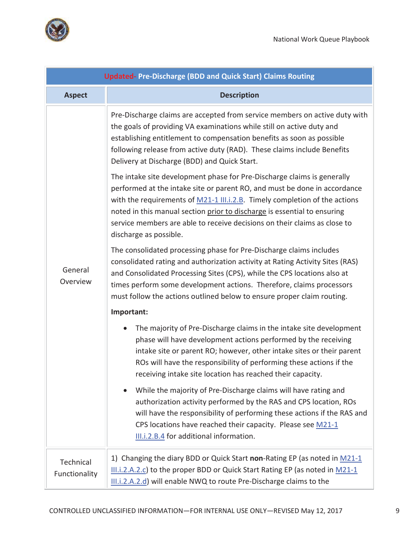



| <b>Updated-Pre-Discharge (BDD and Quick Start) Claims Routing</b> |                                                                                                                                                                                                                                                                                                                                                                                                                       |
|-------------------------------------------------------------------|-----------------------------------------------------------------------------------------------------------------------------------------------------------------------------------------------------------------------------------------------------------------------------------------------------------------------------------------------------------------------------------------------------------------------|
| <b>Aspect</b>                                                     | <b>Description</b>                                                                                                                                                                                                                                                                                                                                                                                                    |
| General<br>Overview                                               | Pre-Discharge claims are accepted from service members on active duty with<br>the goals of providing VA examinations while still on active duty and<br>establishing entitlement to compensation benefits as soon as possible<br>following release from active duty (RAD). These claims include Benefits<br>Delivery at Discharge (BDD) and Quick Start.                                                               |
|                                                                   | The intake site development phase for Pre-Discharge claims is generally<br>performed at the intake site or parent RO, and must be done in accordance<br>with the requirements of M21-1 III.i.2.B. Timely completion of the actions<br>noted in this manual section prior to discharge is essential to ensuring<br>service members are able to receive decisions on their claims as close to<br>discharge as possible. |
|                                                                   | The consolidated processing phase for Pre-Discharge claims includes<br>consolidated rating and authorization activity at Rating Activity Sites (RAS)<br>and Consolidated Processing Sites (CPS), while the CPS locations also at<br>times perform some development actions. Therefore, claims processors<br>must follow the actions outlined below to ensure proper claim routing.                                    |
|                                                                   | Important:                                                                                                                                                                                                                                                                                                                                                                                                            |
|                                                                   | The majority of Pre-Discharge claims in the intake site development<br>$\bullet$<br>phase will have development actions performed by the receiving<br>intake site or parent RO; however, other intake sites or their parent<br>ROs will have the responsibility of performing these actions if the<br>receiving intake site location has reached their capacity.                                                      |
|                                                                   | While the majority of Pre-Discharge claims will have rating and<br>$\bullet$<br>authorization activity performed by the RAS and CPS location, ROs<br>will have the responsibility of performing these actions if the RAS and<br>CPS locations have reached their capacity. Please see M21-1<br>III.i.2.B.4 for additional information.                                                                                |
| Technical<br>Functionality                                        | 1) Changing the diary BDD or Quick Start non-Rating EP (as noted in M21-1<br>$III.i.2.A.2.c$ ) to the proper BDD or Quick Start Rating EP (as noted in $M21-1$<br>III.i.2.A.2.d) will enable NWQ to route Pre-Discharge claims to the                                                                                                                                                                                 |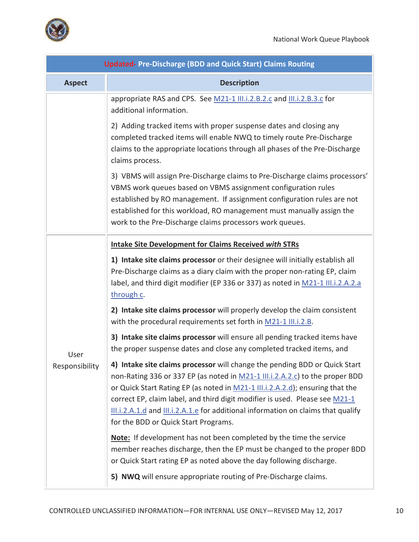

. i

| <b>Updated-Pre-Discharge (BDD and Quick Start) Claims Routing</b> |                                                                                                                                                                                                                                                                                                                                                                                                                                                         |  |
|-------------------------------------------------------------------|---------------------------------------------------------------------------------------------------------------------------------------------------------------------------------------------------------------------------------------------------------------------------------------------------------------------------------------------------------------------------------------------------------------------------------------------------------|--|
| <b>Aspect</b>                                                     | <b>Description</b>                                                                                                                                                                                                                                                                                                                                                                                                                                      |  |
|                                                                   | appropriate RAS and CPS. See M21-1 III.i.2.B.2.c and III.i.2.B.3.c for<br>additional information.                                                                                                                                                                                                                                                                                                                                                       |  |
|                                                                   | 2) Adding tracked items with proper suspense dates and closing any<br>completed tracked items will enable NWQ to timely route Pre-Discharge<br>claims to the appropriate locations through all phases of the Pre-Discharge<br>claims process.                                                                                                                                                                                                           |  |
|                                                                   | 3) VBMS will assign Pre-Discharge claims to Pre-Discharge claims processors'<br>VBMS work queues based on VBMS assignment configuration rules<br>established by RO management. If assignment configuration rules are not<br>established for this workload, RO management must manually assign the<br>work to the Pre-Discharge claims processors work queues.                                                                                           |  |
|                                                                   | <b>Intake Site Development for Claims Received with STRs</b>                                                                                                                                                                                                                                                                                                                                                                                            |  |
|                                                                   | 1) Intake site claims processor or their designee will initially establish all<br>Pre-Discharge claims as a diary claim with the proper non-rating EP, claim<br>label, and third digit modifier (EP 336 or 337) as noted in M21-1 III.i.2.A.2.a<br>through c.                                                                                                                                                                                           |  |
|                                                                   | 2) Intake site claims processor will properly develop the claim consistent<br>with the procedural requirements set forth in M21-1 III.i.2.B.                                                                                                                                                                                                                                                                                                            |  |
| User                                                              | 3) Intake site claims processor will ensure all pending tracked items have<br>the proper suspense dates and close any completed tracked items, and                                                                                                                                                                                                                                                                                                      |  |
| Responsibility                                                    | 4) Intake site claims processor will change the pending BDD or Quick Start<br>non-Rating 336 or 337 EP (as noted in M21-1 III.i.2.A.2.c) to the proper BDD<br>or Quick Start Rating EP (as noted in M21-1 III.i.2.A.2.d); ensuring that the<br>correct EP, claim label, and third digit modifier is used. Please see M21-1<br>III.i.2.A.1.d and III.i.2.A.1.e for additional information on claims that qualify<br>for the BDD or Quick Start Programs. |  |
|                                                                   | <b>Note:</b> If development has not been completed by the time the service<br>member reaches discharge, then the EP must be changed to the proper BDD<br>or Quick Start rating EP as noted above the day following discharge.                                                                                                                                                                                                                           |  |
|                                                                   | 5) NWQ will ensure appropriate routing of Pre-Discharge claims.                                                                                                                                                                                                                                                                                                                                                                                         |  |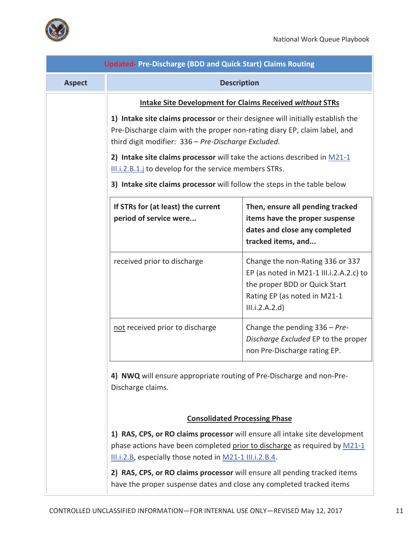

| <b>Updated-Pre-Discharge (BDD and Quick Start) Claims Routing</b> |                                                                                                                                                                                                                    |                                                                                                                                                                |
|-------------------------------------------------------------------|--------------------------------------------------------------------------------------------------------------------------------------------------------------------------------------------------------------------|----------------------------------------------------------------------------------------------------------------------------------------------------------------|
| <b>Aspect</b>                                                     |                                                                                                                                                                                                                    | <b>Description</b>                                                                                                                                             |
|                                                                   |                                                                                                                                                                                                                    | <b>Intake Site Development for Claims Received without STRs</b>                                                                                                |
|                                                                   | 1) Intake site claims processor or their designee will initially establish the<br>Pre-Discharge claim with the proper non-rating diary EP, claim label, and<br>third digit modifier: 336 - Pre-Discharge Excluded. |                                                                                                                                                                |
|                                                                   | 2) Intake site claims processor will take the actions described in $M21-1$                                                                                                                                         |                                                                                                                                                                |
|                                                                   | III.i.2.B.1.j to develop for the service members STRs.<br>3) Intake site claims processor will follow the steps in the table below                                                                                 |                                                                                                                                                                |
|                                                                   | If STRs for (at least) the current<br>period of service were                                                                                                                                                       | Then, ensure all pending tracked<br>items have the proper suspense<br>dates and close any completed<br>tracked items, and                                      |
|                                                                   | received prior to discharge                                                                                                                                                                                        | Change the non-Rating 336 or 337<br>EP (as noted in M21-1 III.i.2.A.2.c) to<br>the proper BDD or Quick Start<br>Rating EP (as noted in M21-1<br>III.i.2.A.2.d) |
|                                                                   | not received prior to discharge                                                                                                                                                                                    | Change the pending $336 - Pre$<br>Discharge Excluded EP to the proper<br>non Pre-Discharge rating EP.                                                          |
|                                                                   | 4) NWQ will ensure appropriate routing of Pre-Discharge and non-Pre-<br>Discharge claims.                                                                                                                          |                                                                                                                                                                |
|                                                                   |                                                                                                                                                                                                                    | <b>Consolidated Processing Phase</b>                                                                                                                           |
|                                                                   | III.i.2.B, especially those noted in M21-1 III.i.2.B.4.                                                                                                                                                            | 1) RAS, CPS, or RO claims processor will ensure all intake site development<br>phase actions have been completed prior to discharge as required by M21-1       |
|                                                                   | 2) RAS, CPS, or RO claims processor will ensure all pending tracked items<br>have the proper suspense dates and close any completed tracked items                                                                  |                                                                                                                                                                |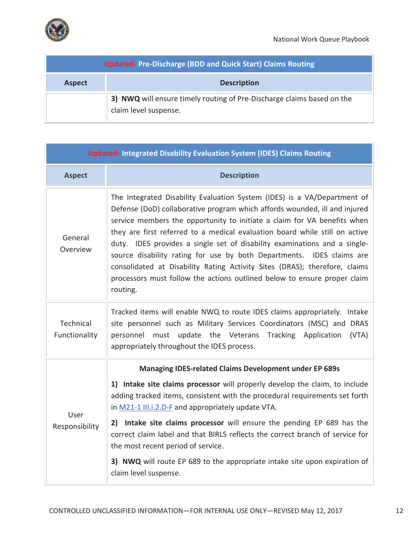

| <b>Updated-Pre-Discharge (BDD and Quick Start) Claims Routing</b> |                                                                                                 |
|-------------------------------------------------------------------|-------------------------------------------------------------------------------------------------|
| <b>Description</b><br><b>Aspect</b>                               |                                                                                                 |
|                                                                   | 3) NWQ will ensure timely routing of Pre-Discharge claims based on the<br>claim level suspense. |

| <b>Updated-Integrated Disability Evaluation System (IDES) Claims Routing</b> |                                                                                                                                                                                                                                                                                                                                                                                                                                                                                                                                                                                                                                               |
|------------------------------------------------------------------------------|-----------------------------------------------------------------------------------------------------------------------------------------------------------------------------------------------------------------------------------------------------------------------------------------------------------------------------------------------------------------------------------------------------------------------------------------------------------------------------------------------------------------------------------------------------------------------------------------------------------------------------------------------|
| <b>Aspect</b>                                                                | <b>Description</b>                                                                                                                                                                                                                                                                                                                                                                                                                                                                                                                                                                                                                            |
| General<br>Overview                                                          | The Integrated Disability Evaluation System (IDES) is a VA/Department of<br>Defense (DoD) collaborative program which affords wounded, ill and injured<br>service members the opportunity to initiate a claim for VA benefits when<br>they are first referred to a medical evaluation board while still on active<br>duty. IDES provides a single set of disability examinations and a single-<br>source disability rating for use by both Departments. IDES claims are<br>consolidated at Disability Rating Activity Sites (DRAS); therefore, claims<br>processors must follow the actions outlined below to ensure proper claim<br>routing. |
| Technical<br>Functionality                                                   | Tracked items will enable NWQ to route IDES claims appropriately. Intake<br>site personnel such as Military Services Coordinators (MSC) and DRAS<br>must update the Veterans Tracking Application<br>(VTA)<br>personnel<br>appropriately throughout the IDES process.                                                                                                                                                                                                                                                                                                                                                                         |
| <b>Managing IDES-related Claims Development under EP 689s</b>                |                                                                                                                                                                                                                                                                                                                                                                                                                                                                                                                                                                                                                                               |
| User<br>Responsibility                                                       | 1) Intake site claims processor will properly develop the claim, to include<br>adding tracked items, consistent with the procedural requirements set forth<br>in M21-1 III.i.2.D-F and appropriately update VTA.                                                                                                                                                                                                                                                                                                                                                                                                                              |
|                                                                              | 2) Intake site claims processor will ensure the pending EP 689 has the<br>correct claim label and that BIRLS reflects the correct branch of service for<br>the most recent period of service.                                                                                                                                                                                                                                                                                                                                                                                                                                                 |
|                                                                              | 3) NWQ will route EP 689 to the appropriate intake site upon expiration of<br>claim level suspense.                                                                                                                                                                                                                                                                                                                                                                                                                                                                                                                                           |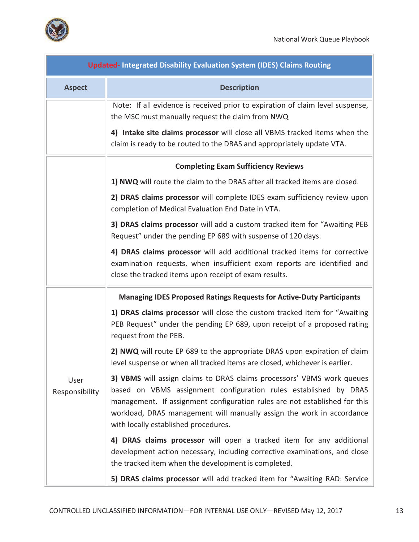

| <b>Updated-Integrated Disability Evaluation System (IDES) Claims Routing</b> |                                                                                                                                                                                                                                                                                                                                           |
|------------------------------------------------------------------------------|-------------------------------------------------------------------------------------------------------------------------------------------------------------------------------------------------------------------------------------------------------------------------------------------------------------------------------------------|
| <b>Aspect</b>                                                                | <b>Description</b>                                                                                                                                                                                                                                                                                                                        |
|                                                                              | Note: If all evidence is received prior to expiration of claim level suspense,<br>the MSC must manually request the claim from NWQ                                                                                                                                                                                                        |
|                                                                              | 4) Intake site claims processor will close all VBMS tracked items when the<br>claim is ready to be routed to the DRAS and appropriately update VTA.                                                                                                                                                                                       |
|                                                                              | <b>Completing Exam Sufficiency Reviews</b>                                                                                                                                                                                                                                                                                                |
|                                                                              | 1) NWQ will route the claim to the DRAS after all tracked items are closed.                                                                                                                                                                                                                                                               |
|                                                                              | 2) DRAS claims processor will complete IDES exam sufficiency review upon<br>completion of Medical Evaluation End Date in VTA.                                                                                                                                                                                                             |
|                                                                              | 3) DRAS claims processor will add a custom tracked item for "Awaiting PEB<br>Request" under the pending EP 689 with suspense of 120 days.                                                                                                                                                                                                 |
|                                                                              | 4) DRAS claims processor will add additional tracked items for corrective<br>examination requests, when insufficient exam reports are identified and<br>close the tracked items upon receipt of exam results.                                                                                                                             |
|                                                                              | <b>Managing IDES Proposed Ratings Requests for Active-Duty Participants</b>                                                                                                                                                                                                                                                               |
| User<br>Responsibility                                                       | 1) DRAS claims processor will close the custom tracked item for "Awaiting<br>PEB Request" under the pending EP 689, upon receipt of a proposed rating<br>request from the PEB.                                                                                                                                                            |
|                                                                              | 2) NWQ will route EP 689 to the appropriate DRAS upon expiration of claim<br>level suspense or when all tracked items are closed, whichever is earlier.                                                                                                                                                                                   |
|                                                                              | 3) VBMS will assign claims to DRAS claims processors' VBMS work queues<br>based on VBMS assignment configuration rules established by DRAS<br>management. If assignment configuration rules are not established for this<br>workload, DRAS management will manually assign the work in accordance<br>with locally established procedures. |
|                                                                              | 4) DRAS claims processor will open a tracked item for any additional<br>development action necessary, including corrective examinations, and close<br>the tracked item when the development is completed.                                                                                                                                 |
|                                                                              | 5) DRAS claims processor will add tracked item for "Awaiting RAD: Service                                                                                                                                                                                                                                                                 |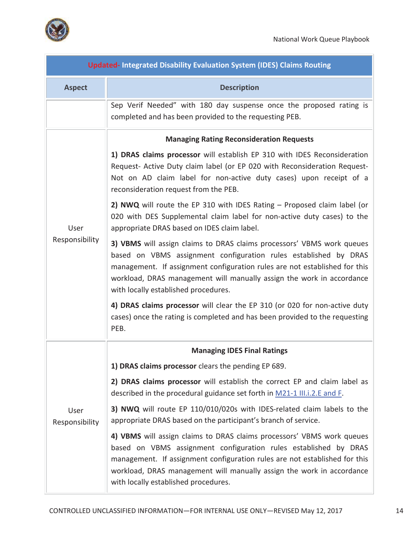

 $\blacksquare$ 

| <b>Updated-Integrated Disability Evaluation System (IDES) Claims Routing</b> |                                                                                                                                                                                                                                                                                                                                           |  |
|------------------------------------------------------------------------------|-------------------------------------------------------------------------------------------------------------------------------------------------------------------------------------------------------------------------------------------------------------------------------------------------------------------------------------------|--|
| <b>Aspect</b>                                                                | <b>Description</b>                                                                                                                                                                                                                                                                                                                        |  |
|                                                                              | Sep Verif Needed" with 180 day suspense once the proposed rating is<br>completed and has been provided to the requesting PEB.                                                                                                                                                                                                             |  |
|                                                                              | <b>Managing Rating Reconsideration Requests</b>                                                                                                                                                                                                                                                                                           |  |
| User<br>Responsibility                                                       | 1) DRAS claims processor will establish EP 310 with IDES Reconsideration<br>Request- Active Duty claim label (or EP 020 with Reconsideration Request-<br>Not on AD claim label for non-active duty cases) upon receipt of a<br>reconsideration request from the PEB.                                                                      |  |
|                                                                              | 2) NWQ will route the EP 310 with IDES Rating - Proposed claim label (or<br>020 with DES Supplemental claim label for non-active duty cases) to the<br>appropriate DRAS based on IDES claim label.                                                                                                                                        |  |
|                                                                              | 3) VBMS will assign claims to DRAS claims processors' VBMS work queues<br>based on VBMS assignment configuration rules established by DRAS<br>management. If assignment configuration rules are not established for this<br>workload, DRAS management will manually assign the work in accordance<br>with locally established procedures. |  |
|                                                                              | 4) DRAS claims processor will clear the EP 310 (or 020 for non-active duty<br>cases) once the rating is completed and has been provided to the requesting<br>PEB.                                                                                                                                                                         |  |
|                                                                              | <b>Managing IDES Final Ratings</b>                                                                                                                                                                                                                                                                                                        |  |
|                                                                              | 1) DRAS claims processor clears the pending EP 689.                                                                                                                                                                                                                                                                                       |  |
| User<br>Responsibility                                                       | 2) DRAS claims processor will establish the correct EP and claim label as<br>described in the procedural guidance set forth in M21-1 III.i.2.E and F.                                                                                                                                                                                     |  |
|                                                                              | 3) NWQ will route EP 110/010/020s with IDES-related claim labels to the<br>appropriate DRAS based on the participant's branch of service.                                                                                                                                                                                                 |  |
|                                                                              | 4) VBMS will assign claims to DRAS claims processors' VBMS work queues<br>based on VBMS assignment configuration rules established by DRAS<br>management. If assignment configuration rules are not established for this<br>workload, DRAS management will manually assign the work in accordance<br>with locally established procedures. |  |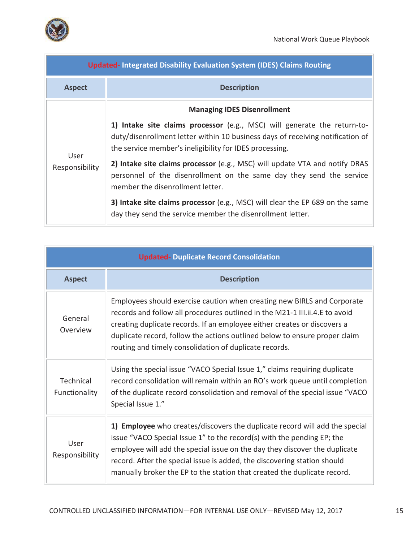



| <b>Updated-Integrated Disability Evaluation System (IDES) Claims Routing</b> |                                                                                                                                                                                                                       |
|------------------------------------------------------------------------------|-----------------------------------------------------------------------------------------------------------------------------------------------------------------------------------------------------------------------|
| <b>Aspect</b>                                                                | <b>Description</b>                                                                                                                                                                                                    |
|                                                                              | <b>Managing IDES Disenrollment</b>                                                                                                                                                                                    |
| User<br>Responsibility                                                       | 1) Intake site claims processor (e.g., MSC) will generate the return-to-<br>duty/disenrollment letter within 10 business days of receiving notification of<br>the service member's ineligibility for IDES processing. |
|                                                                              | 2) Intake site claims processor (e.g., MSC) will update VTA and notify DRAS<br>personnel of the disenrollment on the same day they send the service<br>member the disenrollment letter.                               |
|                                                                              | 3) Intake site claims processor (e.g., MSC) will clear the EP 689 on the same<br>day they send the service member the disenrollment letter.                                                                           |

| <b>Updated- Duplicate Record Consolidation</b> |                                                                                                                                                                                                                                                                                                                                                                                             |
|------------------------------------------------|---------------------------------------------------------------------------------------------------------------------------------------------------------------------------------------------------------------------------------------------------------------------------------------------------------------------------------------------------------------------------------------------|
| <b>Aspect</b>                                  | <b>Description</b>                                                                                                                                                                                                                                                                                                                                                                          |
| General<br>Overview                            | Employees should exercise caution when creating new BIRLS and Corporate<br>records and follow all procedures outlined in the M21-1 III.ii.4.E to avoid<br>creating duplicate records. If an employee either creates or discovers a<br>duplicate record, follow the actions outlined below to ensure proper claim<br>routing and timely consolidation of duplicate records.                  |
| Technical<br>Functionality                     | Using the special issue "VACO Special Issue 1," claims requiring duplicate<br>record consolidation will remain within an RO's work queue until completion<br>of the duplicate record consolidation and removal of the special issue "VACO<br>Special Issue 1."                                                                                                                              |
| User<br>Responsibility                         | 1) Employee who creates/discovers the duplicate record will add the special<br>issue "VACO Special Issue 1" to the record(s) with the pending EP; the<br>employee will add the special issue on the day they discover the duplicate<br>record. After the special issue is added, the discovering station should<br>manually broker the EP to the station that created the duplicate record. |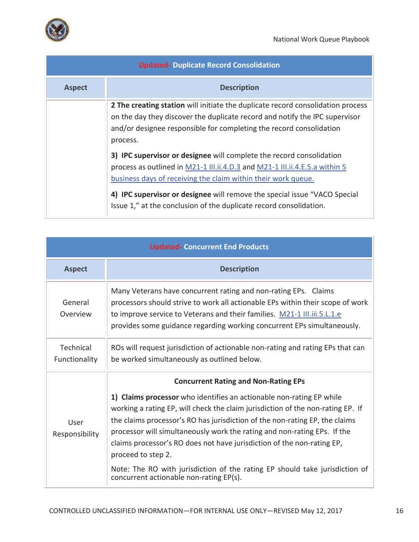

| <b>Updated- Duplicate Record Consolidation</b> |                                                                                                                                                                                                                                                                                                                                                                         |
|------------------------------------------------|-------------------------------------------------------------------------------------------------------------------------------------------------------------------------------------------------------------------------------------------------------------------------------------------------------------------------------------------------------------------------|
| <b>Aspect</b>                                  | <b>Description</b>                                                                                                                                                                                                                                                                                                                                                      |
|                                                | 2 The creating station will initiate the duplicate record consolidation process<br>on the day they discover the duplicate record and notify the IPC supervisor<br>and/or designee responsible for completing the record consolidation<br>process.                                                                                                                       |
|                                                | 3) IPC supervisor or designee will complete the record consolidation<br>process as outlined in M21-1 III.ii.4.D.3 and M21-1 III.ii.4.E.5.a within 5<br>business days of receiving the claim within their work queue.<br>4) IPC supervisor or designee will remove the special issue "VACO Special<br>Issue 1," at the conclusion of the duplicate record consolidation. |

| <b>Updated- Concurrent End Products</b> |                                                                                                                                                                                                                                                                                                                                                                                                                                                                                                                                                                                             |
|-----------------------------------------|---------------------------------------------------------------------------------------------------------------------------------------------------------------------------------------------------------------------------------------------------------------------------------------------------------------------------------------------------------------------------------------------------------------------------------------------------------------------------------------------------------------------------------------------------------------------------------------------|
| <b>Aspect</b>                           | <b>Description</b>                                                                                                                                                                                                                                                                                                                                                                                                                                                                                                                                                                          |
| General<br>Overview                     | Many Veterans have concurrent rating and non-rating EPs. Claims<br>processors should strive to work all actionable EPs within their scope of work<br>to improve service to Veterans and their families. M21-1 III.iii.5.L.1.e<br>provides some guidance regarding working concurrent EPs simultaneously.                                                                                                                                                                                                                                                                                    |
| <b>Technical</b><br>Functionality       | ROs will request jurisdiction of actionable non-rating and rating EPs that can<br>be worked simultaneously as outlined below.                                                                                                                                                                                                                                                                                                                                                                                                                                                               |
| User<br>Responsibility                  | <b>Concurrent Rating and Non-Rating EPs</b><br>1) Claims processor who identifies an actionable non-rating EP while<br>working a rating EP, will check the claim jurisdiction of the non-rating EP. If<br>the claims processor's RO has jurisdiction of the non-rating EP, the claims<br>processor will simultaneously work the rating and non-rating EPs. If the<br>claims processor's RO does not have jurisdiction of the non-rating EP,<br>proceed to step 2.<br>Note: The RO with jurisdiction of the rating EP should take jurisdiction of<br>concurrent actionable non-rating EP(s). |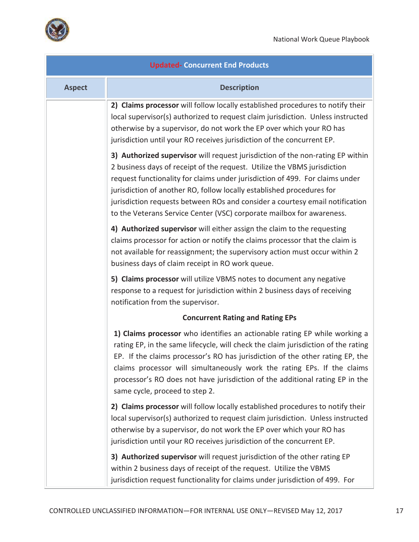

| <b>Updated- Concurrent End Products</b> |                                                                                                                                                                                                                                                                                                                                                                                                                                                                              |
|-----------------------------------------|------------------------------------------------------------------------------------------------------------------------------------------------------------------------------------------------------------------------------------------------------------------------------------------------------------------------------------------------------------------------------------------------------------------------------------------------------------------------------|
| <b>Aspect</b>                           | <b>Description</b>                                                                                                                                                                                                                                                                                                                                                                                                                                                           |
|                                         | 2) Claims processor will follow locally established procedures to notify their<br>local supervisor(s) authorized to request claim jurisdiction. Unless instructed<br>otherwise by a supervisor, do not work the EP over which your RO has<br>jurisdiction until your RO receives jurisdiction of the concurrent EP.                                                                                                                                                          |
|                                         | 3) Authorized supervisor will request jurisdiction of the non-rating EP within<br>2 business days of receipt of the request. Utilize the VBMS jurisdiction<br>request functionality for claims under jurisdiction of 499. For claims under<br>jurisdiction of another RO, follow locally established procedures for<br>jurisdiction requests between ROs and consider a courtesy email notification<br>to the Veterans Service Center (VSC) corporate mailbox for awareness. |
|                                         | 4) Authorized supervisor will either assign the claim to the requesting<br>claims processor for action or notify the claims processor that the claim is<br>not available for reassignment; the supervisory action must occur within 2<br>business days of claim receipt in RO work queue.                                                                                                                                                                                    |
|                                         | 5) Claims processor will utilize VBMS notes to document any negative<br>response to a request for jurisdiction within 2 business days of receiving<br>notification from the supervisor.                                                                                                                                                                                                                                                                                      |
|                                         | <b>Concurrent Rating and Rating EPs</b>                                                                                                                                                                                                                                                                                                                                                                                                                                      |
|                                         | 1) Claims processor who identifies an actionable rating EP while working a<br>rating EP, in the same lifecycle, will check the claim jurisdiction of the rating<br>EP. If the claims processor's RO has jurisdiction of the other rating EP, the<br>claims processor will simultaneously work the rating EPs. If the claims<br>processor's RO does not have jurisdiction of the additional rating EP in the<br>same cycle, proceed to step 2.                                |
|                                         | 2) Claims processor will follow locally established procedures to notify their<br>local supervisor(s) authorized to request claim jurisdiction. Unless instructed<br>otherwise by a supervisor, do not work the EP over which your RO has<br>jurisdiction until your RO receives jurisdiction of the concurrent EP.                                                                                                                                                          |
|                                         | 3) Authorized supervisor will request jurisdiction of the other rating EP<br>within 2 business days of receipt of the request. Utilize the VBMS<br>jurisdiction request functionality for claims under jurisdiction of 499. For                                                                                                                                                                                                                                              |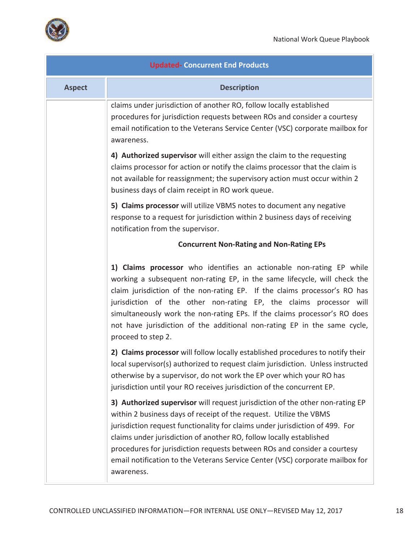

| <b>Updated- Concurrent End Products</b> |                                                                                                                                                                                                                                                                                                                                                                                                                                                                                       |
|-----------------------------------------|---------------------------------------------------------------------------------------------------------------------------------------------------------------------------------------------------------------------------------------------------------------------------------------------------------------------------------------------------------------------------------------------------------------------------------------------------------------------------------------|
| <b>Aspect</b>                           | <b>Description</b>                                                                                                                                                                                                                                                                                                                                                                                                                                                                    |
|                                         | claims under jurisdiction of another RO, follow locally established<br>procedures for jurisdiction requests between ROs and consider a courtesy<br>email notification to the Veterans Service Center (VSC) corporate mailbox for<br>awareness.                                                                                                                                                                                                                                        |
|                                         | 4) Authorized supervisor will either assign the claim to the requesting<br>claims processor for action or notify the claims processor that the claim is<br>not available for reassignment; the supervisory action must occur within 2<br>business days of claim receipt in RO work queue.                                                                                                                                                                                             |
|                                         | 5) Claims processor will utilize VBMS notes to document any negative<br>response to a request for jurisdiction within 2 business days of receiving<br>notification from the supervisor.                                                                                                                                                                                                                                                                                               |
|                                         | <b>Concurrent Non-Rating and Non-Rating EPs</b>                                                                                                                                                                                                                                                                                                                                                                                                                                       |
|                                         | 1) Claims processor who identifies an actionable non-rating EP while<br>working a subsequent non-rating EP, in the same lifecycle, will check the<br>claim jurisdiction of the non-rating EP. If the claims processor's RO has<br>jurisdiction of the other non-rating EP, the claims processor will<br>simultaneously work the non-rating EPs. If the claims processor's RO does<br>not have jurisdiction of the additional non-rating EP in the same cycle,<br>proceed to step 2.   |
|                                         | 2) Claims processor will follow locally established procedures to notify their<br>local supervisor(s) authorized to request claim jurisdiction. Unless instructed<br>otherwise by a supervisor, do not work the EP over which your RO has<br>jurisdiction until your RO receives jurisdiction of the concurrent EP.                                                                                                                                                                   |
|                                         | 3) Authorized supervisor will request jurisdiction of the other non-rating EP<br>within 2 business days of receipt of the request. Utilize the VBMS<br>jurisdiction request functionality for claims under jurisdiction of 499. For<br>claims under jurisdiction of another RO, follow locally established<br>procedures for jurisdiction requests between ROs and consider a courtesy<br>email notification to the Veterans Service Center (VSC) corporate mailbox for<br>awareness. |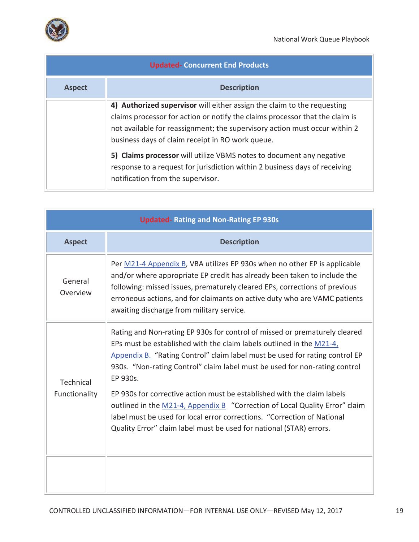

| <b>Updated- Concurrent End Products</b> |                                                                                                                                                                                                                                                                                           |
|-----------------------------------------|-------------------------------------------------------------------------------------------------------------------------------------------------------------------------------------------------------------------------------------------------------------------------------------------|
| <b>Aspect</b>                           | <b>Description</b>                                                                                                                                                                                                                                                                        |
|                                         | 4) Authorized supervisor will either assign the claim to the requesting<br>claims processor for action or notify the claims processor that the claim is<br>not available for reassignment; the supervisory action must occur within 2<br>business days of claim receipt in RO work queue. |
|                                         | 5) Claims processor will utilize VBMS notes to document any negative<br>response to a request for jurisdiction within 2 business days of receiving<br>notification from the supervisor.                                                                                                   |

| <b>Updated-Rating and Non-Rating EP 930s</b> |                                                                                                                                                                                                                                                                                                                                                               |
|----------------------------------------------|---------------------------------------------------------------------------------------------------------------------------------------------------------------------------------------------------------------------------------------------------------------------------------------------------------------------------------------------------------------|
| <b>Aspect</b>                                | <b>Description</b>                                                                                                                                                                                                                                                                                                                                            |
| General<br>Overview                          | Per M21-4 Appendix B, VBA utilizes EP 930s when no other EP is applicable<br>and/or where appropriate EP credit has already been taken to include the<br>following: missed issues, prematurely cleared EPs, corrections of previous<br>erroneous actions, and for claimants on active duty who are VAMC patients<br>awaiting discharge from military service. |
| Technical<br>Functionality                   | Rating and Non-rating EP 930s for control of missed or prematurely cleared<br>EPs must be established with the claim labels outlined in the M21-4,<br>Appendix B. "Rating Control" claim label must be used for rating control EP<br>930s. "Non-rating Control" claim label must be used for non-rating control<br>EP 930s.                                   |
|                                              | EP 930s for corrective action must be established with the claim labels<br>outlined in the M21-4, Appendix B "Correction of Local Quality Error" claim<br>label must be used for local error corrections. "Correction of National<br>Quality Error" claim label must be used for national (STAR) errors.                                                      |
|                                              |                                                                                                                                                                                                                                                                                                                                                               |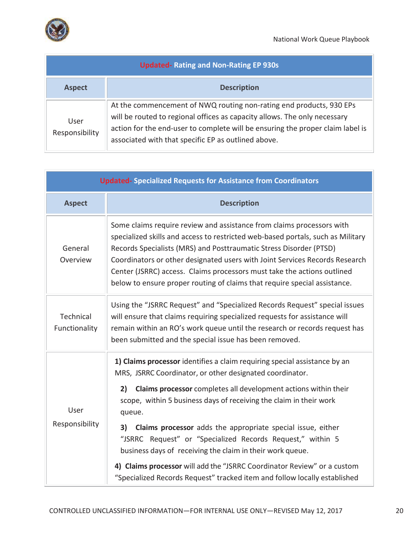

.<br>Fil

| <b>Updated-Rating and Non-Rating EP 930s</b> |                                                                                                                                                                                                                                                                                           |
|----------------------------------------------|-------------------------------------------------------------------------------------------------------------------------------------------------------------------------------------------------------------------------------------------------------------------------------------------|
| <b>Aspect</b>                                | <b>Description</b>                                                                                                                                                                                                                                                                        |
| User<br>Responsibility                       | At the commencement of NWQ routing non-rating end products, 930 EPs<br>will be routed to regional offices as capacity allows. The only necessary<br>action for the end-user to complete will be ensuring the proper claim label is<br>associated with that specific EP as outlined above. |

| <b>Updated-Specialized Requests for Assistance from Coordinators</b> |                                                                                                                                                                                                                                                                                                                                                                                                                                                                       |
|----------------------------------------------------------------------|-----------------------------------------------------------------------------------------------------------------------------------------------------------------------------------------------------------------------------------------------------------------------------------------------------------------------------------------------------------------------------------------------------------------------------------------------------------------------|
| <b>Aspect</b>                                                        | <b>Description</b>                                                                                                                                                                                                                                                                                                                                                                                                                                                    |
| General<br>Overview                                                  | Some claims require review and assistance from claims processors with<br>specialized skills and access to restricted web-based portals, such as Military<br>Records Specialists (MRS) and Posttraumatic Stress Disorder (PTSD)<br>Coordinators or other designated users with Joint Services Records Research<br>Center (JSRRC) access. Claims processors must take the actions outlined<br>below to ensure proper routing of claims that require special assistance. |
| Technical<br>Functionality                                           | Using the "JSRRC Request" and "Specialized Records Request" special issues<br>will ensure that claims requiring specialized requests for assistance will<br>remain within an RO's work queue until the research or records request has<br>been submitted and the special issue has been removed.                                                                                                                                                                      |
| User<br>Responsibility                                               | 1) Claims processor identifies a claim requiring special assistance by an<br>MRS, JSRRC Coordinator, or other designated coordinator.<br>Claims processor completes all development actions within their<br>2)<br>scope, within 5 business days of receiving the claim in their work<br>queue.                                                                                                                                                                        |
|                                                                      | 3)<br><b>Claims processor</b> adds the appropriate special issue, either<br>"JSRRC Request" or "Specialized Records Request," within 5<br>business days of receiving the claim in their work queue.                                                                                                                                                                                                                                                                   |
|                                                                      | 4) Claims processor will add the "JSRRC Coordinator Review" or a custom<br>"Specialized Records Request" tracked item and follow locally established                                                                                                                                                                                                                                                                                                                  |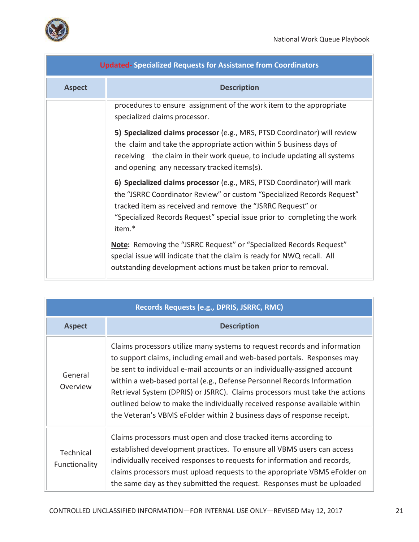| <b>Updated-Specialized Requests for Assistance from Coordinators</b> |                                                                                                                                                                                                                                                                                                       |
|----------------------------------------------------------------------|-------------------------------------------------------------------------------------------------------------------------------------------------------------------------------------------------------------------------------------------------------------------------------------------------------|
| <b>Aspect</b>                                                        | <b>Description</b>                                                                                                                                                                                                                                                                                    |
|                                                                      | procedures to ensure assignment of the work item to the appropriate<br>specialized claims processor.                                                                                                                                                                                                  |
|                                                                      | 5) Specialized claims processor (e.g., MRS, PTSD Coordinator) will review<br>the claim and take the appropriate action within 5 business days of<br>receiving the claim in their work queue, to include updating all systems<br>and opening any necessary tracked items(s).                           |
|                                                                      | 6) Specialized claims processor (e.g., MRS, PTSD Coordinator) will mark<br>the "JSRRC Coordinator Review" or custom "Specialized Records Request"<br>tracked item as received and remove the "JSRRC Request" or<br>"Specialized Records Request" special issue prior to completing the work<br>item.* |
|                                                                      | Note: Removing the "JSRRC Request" or "Specialized Records Request"<br>special issue will indicate that the claim is ready for NWQ recall. All<br>outstanding development actions must be taken prior to removal.                                                                                     |

| Records Requests (e.g., DPRIS, JSRRC, RMC) |                                                                                                                                                                                                                                                                                                                                                                                                                                                                                                                                                    |
|--------------------------------------------|----------------------------------------------------------------------------------------------------------------------------------------------------------------------------------------------------------------------------------------------------------------------------------------------------------------------------------------------------------------------------------------------------------------------------------------------------------------------------------------------------------------------------------------------------|
| <b>Aspect</b>                              | <b>Description</b>                                                                                                                                                                                                                                                                                                                                                                                                                                                                                                                                 |
| General<br>Overview                        | Claims processors utilize many systems to request records and information<br>to support claims, including email and web-based portals. Responses may<br>be sent to individual e-mail accounts or an individually-assigned account<br>within a web-based portal (e.g., Defense Personnel Records Information<br>Retrieval System (DPRIS) or JSRRC). Claims processors must take the actions<br>outlined below to make the individually received response available within<br>the Veteran's VBMS eFolder within 2 business days of response receipt. |
| Technical<br>Functionality                 | Claims processors must open and close tracked items according to<br>established development practices. To ensure all VBMS users can access<br>individually received responses to requests for information and records,<br>claims processors must upload requests to the appropriate VBMS eFolder on<br>the same day as they submitted the request. Responses must be uploaded                                                                                                                                                                      |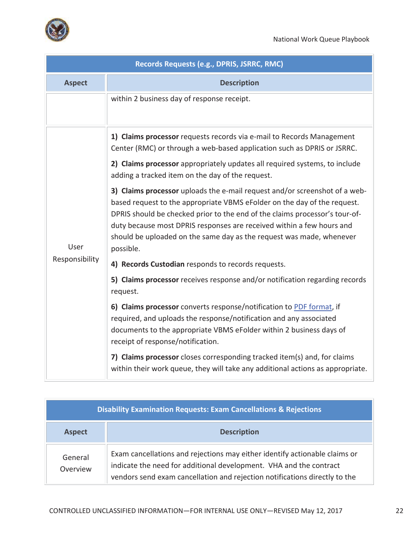

| Records Requests (e.g., DPRIS, JSRRC, RMC) |                                                                                                                                                                                                                                                                                                                                                                                                                                                                                                                                                                                                                                                                                           |
|--------------------------------------------|-------------------------------------------------------------------------------------------------------------------------------------------------------------------------------------------------------------------------------------------------------------------------------------------------------------------------------------------------------------------------------------------------------------------------------------------------------------------------------------------------------------------------------------------------------------------------------------------------------------------------------------------------------------------------------------------|
| <b>Aspect</b>                              | <b>Description</b>                                                                                                                                                                                                                                                                                                                                                                                                                                                                                                                                                                                                                                                                        |
|                                            | within 2 business day of response receipt.                                                                                                                                                                                                                                                                                                                                                                                                                                                                                                                                                                                                                                                |
| User<br>Responsibility                     | 1) Claims processor requests records via e-mail to Records Management<br>Center (RMC) or through a web-based application such as DPRIS or JSRRC.<br>2) Claims processor appropriately updates all required systems, to include<br>adding a tracked item on the day of the request.<br>3) Claims processor uploads the e-mail request and/or screenshot of a web-<br>based request to the appropriate VBMS eFolder on the day of the request.<br>DPRIS should be checked prior to the end of the claims processor's tour-of-<br>duty because most DPRIS responses are received within a few hours and<br>should be uploaded on the same day as the request was made, whenever<br>possible. |
|                                            | 4) Records Custodian responds to records requests.                                                                                                                                                                                                                                                                                                                                                                                                                                                                                                                                                                                                                                        |
|                                            | 5) Claims processor receives response and/or notification regarding records<br>request.                                                                                                                                                                                                                                                                                                                                                                                                                                                                                                                                                                                                   |
|                                            | 6) Claims processor converts response/notification to PDF format, if<br>required, and uploads the response/notification and any associated<br>documents to the appropriate VBMS eFolder within 2 business days of<br>receipt of response/notification.                                                                                                                                                                                                                                                                                                                                                                                                                                    |
|                                            | 7) Claims processor closes corresponding tracked item(s) and, for claims<br>within their work queue, they will take any additional actions as appropriate.                                                                                                                                                                                                                                                                                                                                                                                                                                                                                                                                |

| <b>Disability Examination Requests: Exam Cancellations &amp; Rejections</b> |                                                                                                                                                                                                                                |
|-----------------------------------------------------------------------------|--------------------------------------------------------------------------------------------------------------------------------------------------------------------------------------------------------------------------------|
| <b>Aspect</b>                                                               | <b>Description</b>                                                                                                                                                                                                             |
| General<br>Overview                                                         | Exam cancellations and rejections may either identify actionable claims or<br>indicate the need for additional development. VHA and the contract<br>vendors send exam cancellation and rejection notifications directly to the |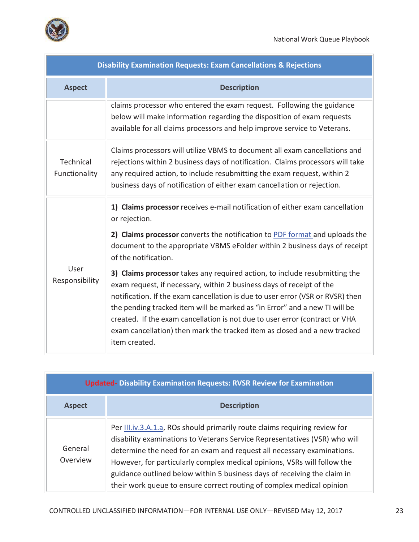

| <b>Disability Examination Requests: Exam Cancellations &amp; Rejections</b> |                                                                                                                                                                                                                                                                                                                                                                                                                                                                                                 |
|-----------------------------------------------------------------------------|-------------------------------------------------------------------------------------------------------------------------------------------------------------------------------------------------------------------------------------------------------------------------------------------------------------------------------------------------------------------------------------------------------------------------------------------------------------------------------------------------|
| <b>Aspect</b>                                                               | <b>Description</b>                                                                                                                                                                                                                                                                                                                                                                                                                                                                              |
|                                                                             | claims processor who entered the exam request. Following the guidance<br>below will make information regarding the disposition of exam requests<br>available for all claims processors and help improve service to Veterans.                                                                                                                                                                                                                                                                    |
| Technical<br>Functionality                                                  | Claims processors will utilize VBMS to document all exam cancellations and<br>rejections within 2 business days of notification. Claims processors will take<br>any required action, to include resubmitting the exam request, within 2<br>business days of notification of either exam cancellation or rejection.                                                                                                                                                                              |
| User<br>Responsibility                                                      | 1) Claims processor receives e-mail notification of either exam cancellation<br>or rejection.<br>2) Claims processor converts the notification to PDF format and uploads the<br>document to the appropriate VBMS eFolder within 2 business days of receipt<br>of the notification.                                                                                                                                                                                                              |
|                                                                             | 3) Claims processor takes any required action, to include resubmitting the<br>exam request, if necessary, within 2 business days of receipt of the<br>notification. If the exam cancellation is due to user error (VSR or RVSR) then<br>the pending tracked item will be marked as "in Error" and a new TI will be<br>created. If the exam cancellation is not due to user error (contract or VHA<br>exam cancellation) then mark the tracked item as closed and a new tracked<br>item created. |

| <b>Updated- Disability Examination Requests: RVSR Review for Examination</b> |                                                                                                                                                                                                                                                                                                                                                                                                                                                                     |
|------------------------------------------------------------------------------|---------------------------------------------------------------------------------------------------------------------------------------------------------------------------------------------------------------------------------------------------------------------------------------------------------------------------------------------------------------------------------------------------------------------------------------------------------------------|
| <b>Aspect</b>                                                                | <b>Description</b>                                                                                                                                                                                                                                                                                                                                                                                                                                                  |
| General<br>Overview                                                          | Per III.iv.3.A.1.a, ROs should primarily route claims requiring review for<br>disability examinations to Veterans Service Representatives (VSR) who will<br>determine the need for an exam and request all necessary examinations.<br>However, for particularly complex medical opinions, VSRs will follow the<br>guidance outlined below within 5 business days of receiving the claim in<br>their work queue to ensure correct routing of complex medical opinion |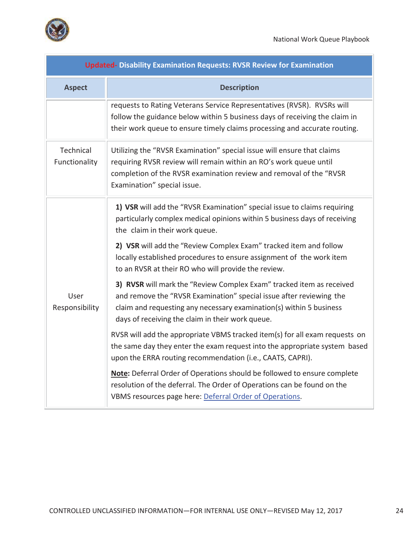

m)

| <b>Updated- Disability Examination Requests: RVSR Review for Examination</b> |                                                                                                                                                                                                                                                                        |  |
|------------------------------------------------------------------------------|------------------------------------------------------------------------------------------------------------------------------------------------------------------------------------------------------------------------------------------------------------------------|--|
| <b>Aspect</b>                                                                | <b>Description</b>                                                                                                                                                                                                                                                     |  |
|                                                                              | requests to Rating Veterans Service Representatives (RVSR). RVSRs will<br>follow the guidance below within 5 business days of receiving the claim in<br>their work queue to ensure timely claims processing and accurate routing.                                      |  |
| Technical<br>Functionality                                                   | Utilizing the "RVSR Examination" special issue will ensure that claims<br>requiring RVSR review will remain within an RO's work queue until<br>completion of the RVSR examination review and removal of the "RVSR<br>Examination" special issue.                       |  |
| User<br>Responsibility                                                       | 1) VSR will add the "RVSR Examination" special issue to claims requiring<br>particularly complex medical opinions within 5 business days of receiving<br>the claim in their work queue.                                                                                |  |
|                                                                              | 2) VSR will add the "Review Complex Exam" tracked item and follow<br>locally established procedures to ensure assignment of the work item<br>to an RVSR at their RO who will provide the review.                                                                       |  |
|                                                                              | 3) RVSR will mark the "Review Complex Exam" tracked item as received<br>and remove the "RVSR Examination" special issue after reviewing the<br>claim and requesting any necessary examination(s) within 5 business<br>days of receiving the claim in their work queue. |  |
|                                                                              | RVSR will add the appropriate VBMS tracked item(s) for all exam requests on<br>the same day they enter the exam request into the appropriate system based<br>upon the ERRA routing recommendation (i.e., CAATS, CAPRI).                                                |  |
|                                                                              | Note: Deferral Order of Operations should be followed to ensure complete<br>resolution of the deferral. The Order of Operations can be found on the<br>VBMS resources page here: Deferral Order of Operations.                                                         |  |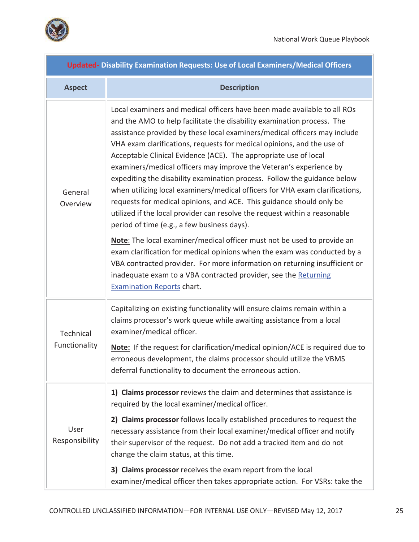



| <b>Updated- Disability Examination Requests: Use of Local Examiners/Medical Officers</b> |                                                                                                                                                                                                                                                                                                                                                                                                                                                                                                                                                                                                                                                                                                                                                                                                                      |  |
|------------------------------------------------------------------------------------------|----------------------------------------------------------------------------------------------------------------------------------------------------------------------------------------------------------------------------------------------------------------------------------------------------------------------------------------------------------------------------------------------------------------------------------------------------------------------------------------------------------------------------------------------------------------------------------------------------------------------------------------------------------------------------------------------------------------------------------------------------------------------------------------------------------------------|--|
| <b>Aspect</b>                                                                            | <b>Description</b>                                                                                                                                                                                                                                                                                                                                                                                                                                                                                                                                                                                                                                                                                                                                                                                                   |  |
| General<br>Overview                                                                      | Local examiners and medical officers have been made available to all ROs<br>and the AMO to help facilitate the disability examination process. The<br>assistance provided by these local examiners/medical officers may include<br>VHA exam clarifications, requests for medical opinions, and the use of<br>Acceptable Clinical Evidence (ACE). The appropriate use of local<br>examiners/medical officers may improve the Veteran's experience by<br>expediting the disability examination process. Follow the guidance below<br>when utilizing local examiners/medical officers for VHA exam clarifications,<br>requests for medical opinions, and ACE. This guidance should only be<br>utilized if the local provider can resolve the request within a reasonable<br>period of time (e.g., a few business days). |  |
|                                                                                          | Note: The local examiner/medical officer must not be used to provide an<br>exam clarification for medical opinions when the exam was conducted by a<br>VBA contracted provider. For more information on returning insufficient or<br>inadequate exam to a VBA contracted provider, see the Returning<br><b>Examination Reports chart.</b>                                                                                                                                                                                                                                                                                                                                                                                                                                                                            |  |
| Technical<br>Functionality                                                               | Capitalizing on existing functionality will ensure claims remain within a<br>claims processor's work queue while awaiting assistance from a local<br>examiner/medical officer.<br><b>Note:</b> If the request for clarification/medical opinion/ACE is required due to<br>erroneous development, the claims processor should utilize the VBMS<br>deferral functionality to document the erroneous action.                                                                                                                                                                                                                                                                                                                                                                                                            |  |
| User<br>Responsibility                                                                   | 1) Claims processor reviews the claim and determines that assistance is<br>required by the local examiner/medical officer.<br>2) Claims processor follows locally established procedures to request the<br>necessary assistance from their local examiner/medical officer and notify<br>their supervisor of the request. Do not add a tracked item and do not<br>change the claim status, at this time.<br>3) Claims processor receives the exam report from the local<br>examiner/medical officer then takes appropriate action. For VSRs: take the                                                                                                                                                                                                                                                                 |  |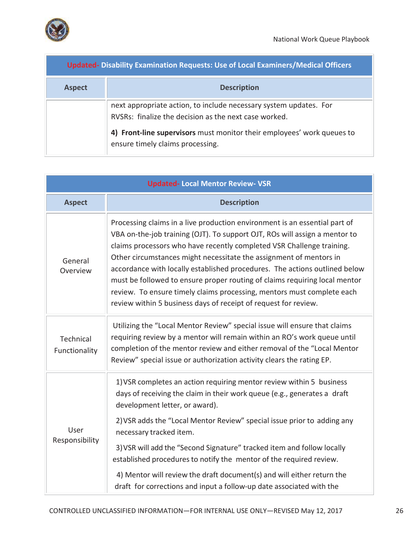

| <b>Updated-Disability Examination Requests: Use of Local Examiners/Medical Officers</b> |                                                                                                                            |
|-----------------------------------------------------------------------------------------|----------------------------------------------------------------------------------------------------------------------------|
| <b>Aspect</b>                                                                           | <b>Description</b>                                                                                                         |
|                                                                                         | next appropriate action, to include necessary system updates. For<br>RVSRs: finalize the decision as the next case worked. |
|                                                                                         | 4) Front-line supervisors must monitor their employees' work queues to<br>ensure timely claims processing.                 |

| <b>Updated-Local Mentor Review- VSR</b> |                                                                                                                                                                                                                                                                                                                                                                                                                                                                                                                                                                                                                  |
|-----------------------------------------|------------------------------------------------------------------------------------------------------------------------------------------------------------------------------------------------------------------------------------------------------------------------------------------------------------------------------------------------------------------------------------------------------------------------------------------------------------------------------------------------------------------------------------------------------------------------------------------------------------------|
| <b>Aspect</b>                           | <b>Description</b>                                                                                                                                                                                                                                                                                                                                                                                                                                                                                                                                                                                               |
| General<br>Overview                     | Processing claims in a live production environment is an essential part of<br>VBA on-the-job training (OJT). To support OJT, ROs will assign a mentor to<br>claims processors who have recently completed VSR Challenge training.<br>Other circumstances might necessitate the assignment of mentors in<br>accordance with locally established procedures. The actions outlined below<br>must be followed to ensure proper routing of claims requiring local mentor<br>review. To ensure timely claims processing, mentors must complete each<br>review within 5 business days of receipt of request for review. |
| Technical<br>Functionality              | Utilizing the "Local Mentor Review" special issue will ensure that claims<br>requiring review by a mentor will remain within an RO's work queue until<br>completion of the mentor review and either removal of the "Local Mentor<br>Review" special issue or authorization activity clears the rating EP.                                                                                                                                                                                                                                                                                                        |
| User<br>Responsibility                  | 1) VSR completes an action requiring mentor review within 5 business<br>days of receiving the claim in their work queue (e.g., generates a draft<br>development letter, or award).                                                                                                                                                                                                                                                                                                                                                                                                                               |
|                                         | 2) VSR adds the "Local Mentor Review" special issue prior to adding any<br>necessary tracked item.                                                                                                                                                                                                                                                                                                                                                                                                                                                                                                               |
|                                         | 3) VSR will add the "Second Signature" tracked item and follow locally<br>established procedures to notify the mentor of the required review.                                                                                                                                                                                                                                                                                                                                                                                                                                                                    |
|                                         | 4) Mentor will review the draft document(s) and will either return the<br>draft for corrections and input a follow-up date associated with the                                                                                                                                                                                                                                                                                                                                                                                                                                                                   |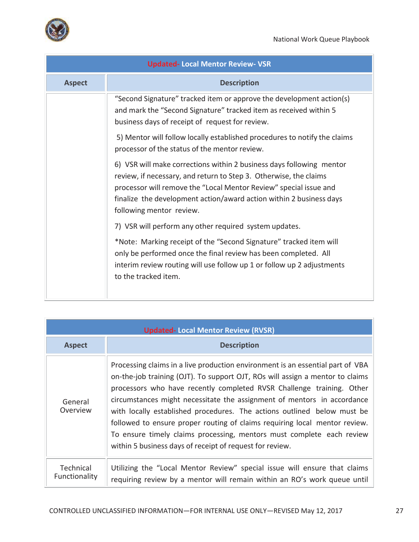

| <b>Updated-Local Mentor Review- VSR</b> |                                                                                                                                                                                                                                                                                                                   |
|-----------------------------------------|-------------------------------------------------------------------------------------------------------------------------------------------------------------------------------------------------------------------------------------------------------------------------------------------------------------------|
| <b>Aspect</b>                           | <b>Description</b>                                                                                                                                                                                                                                                                                                |
|                                         | "Second Signature" tracked item or approve the development action(s)<br>and mark the "Second Signature" tracked item as received within 5<br>business days of receipt of request for review.                                                                                                                      |
|                                         | 5) Mentor will follow locally established procedures to notify the claims<br>processor of the status of the mentor review.                                                                                                                                                                                        |
|                                         | 6) VSR will make corrections within 2 business days following mentor<br>review, if necessary, and return to Step 3. Otherwise, the claims<br>processor will remove the "Local Mentor Review" special issue and<br>finalize the development action/award action within 2 business days<br>following mentor review. |
|                                         | 7) VSR will perform any other required system updates.                                                                                                                                                                                                                                                            |
|                                         | *Note: Marking receipt of the "Second Signature" tracked item will<br>only be performed once the final review has been completed. All<br>interim review routing will use follow up 1 or follow up 2 adjustments<br>to the tracked item.                                                                           |

| <b>Updated-Local Mentor Review (RVSR)</b> |                                                                                                                                                                                                                                                                                                                                                                                                                                                                                                                                                                                                                   |
|-------------------------------------------|-------------------------------------------------------------------------------------------------------------------------------------------------------------------------------------------------------------------------------------------------------------------------------------------------------------------------------------------------------------------------------------------------------------------------------------------------------------------------------------------------------------------------------------------------------------------------------------------------------------------|
| <b>Aspect</b>                             | <b>Description</b>                                                                                                                                                                                                                                                                                                                                                                                                                                                                                                                                                                                                |
| General<br>Overview                       | Processing claims in a live production environment is an essential part of VBA<br>on-the-job training (OJT). To support OJT, ROs will assign a mentor to claims<br>processors who have recently completed RVSR Challenge training. Other<br>circumstances might necessitate the assignment of mentors in accordance<br>with locally established procedures. The actions outlined below must be<br>followed to ensure proper routing of claims requiring local mentor review.<br>To ensure timely claims processing, mentors must complete each review<br>within 5 business days of receipt of request for review. |
| Technical<br>Functionality                | Utilizing the "Local Mentor Review" special issue will ensure that claims<br>requiring review by a mentor will remain within an RO's work queue until                                                                                                                                                                                                                                                                                                                                                                                                                                                             |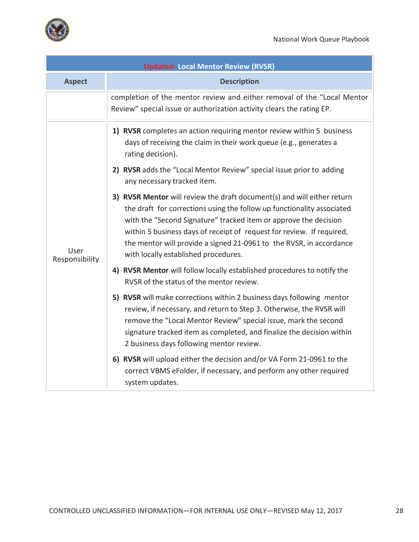

| <b>Updated-Local Mentor Review (RVSR)</b> |                                                                                                                                                                                                                                                                                                                                                                                                               |
|-------------------------------------------|---------------------------------------------------------------------------------------------------------------------------------------------------------------------------------------------------------------------------------------------------------------------------------------------------------------------------------------------------------------------------------------------------------------|
| <b>Aspect</b>                             | <b>Description</b>                                                                                                                                                                                                                                                                                                                                                                                            |
|                                           | completion of the mentor review and either removal of the "Local Mentor<br>Review" special issue or authorization activity clears the rating EP.                                                                                                                                                                                                                                                              |
| User<br>Responsibility                    | 1) RVSR completes an action requiring mentor review within 5 business<br>days of receiving the claim in their work queue (e.g., generates a<br>rating decision).<br>2) RVSR adds the "Local Mentor Review" special issue prior to adding<br>any necessary tracked item.                                                                                                                                       |
|                                           | 3) RVSR Mentor will review the draft document(s) and will either return<br>the draft for corrections using the follow up functionality associated<br>with the "Second Signature" tracked item or approve the decision<br>within 5 business days of receipt of request for review. If required,<br>the mentor will provide a signed 21-0961 to the RVSR, in accordance<br>with locally established procedures. |
|                                           | 4) RVSR Mentor will follow locally established procedures to notify the<br>RVSR of the status of the mentor review.                                                                                                                                                                                                                                                                                           |
|                                           | 5) RVSR will make corrections within 2 business days following mentor<br>review, if necessary, and return to Step 3. Otherwise, the RVSR will<br>remove the "Local Mentor Review" special issue, mark the second<br>signature tracked item as completed, and finalize the decision within<br>2 business days following mentor review.                                                                         |
|                                           | 6) RVSR will upload either the decision and/or VA Form 21-0961 to the<br>correct VBMS eFolder, if necessary, and perform any other required<br>system updates.                                                                                                                                                                                                                                                |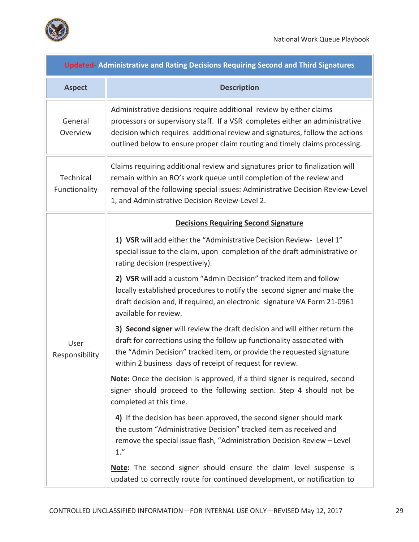

m)

| <b>Updated-Administrative and Rating Decisions Requiring Second and Third Signatures</b> |                                                                                                                                                                                                                                                                                                                                                                                                                                            |  |  |  |
|------------------------------------------------------------------------------------------|--------------------------------------------------------------------------------------------------------------------------------------------------------------------------------------------------------------------------------------------------------------------------------------------------------------------------------------------------------------------------------------------------------------------------------------------|--|--|--|
| <b>Aspect</b>                                                                            | <b>Description</b>                                                                                                                                                                                                                                                                                                                                                                                                                         |  |  |  |
| General<br>Overview                                                                      | Administrative decisions require additional review by either claims<br>processors or supervisory staff. If a VSR completes either an administrative<br>decision which requires additional review and signatures, follow the actions<br>outlined below to ensure proper claim routing and timely claims processing.                                                                                                                         |  |  |  |
| Technical<br>Functionality                                                               | Claims requiring additional review and signatures prior to finalization will<br>remain within an RO's work queue until completion of the review and<br>removal of the following special issues: Administrative Decision Review-Level<br>1, and Administrative Decision Review-Level 2.                                                                                                                                                     |  |  |  |
|                                                                                          | <b>Decisions Requiring Second Signature</b>                                                                                                                                                                                                                                                                                                                                                                                                |  |  |  |
| User<br>Responsibility                                                                   | 1) VSR will add either the "Administrative Decision Review- Level 1"<br>special issue to the claim, upon completion of the draft administrative or<br>rating decision (respectively).<br>2) VSR will add a custom "Admin Decision" tracked item and follow<br>locally established procedures to notify the second signer and make the<br>draft decision and, if required, an electronic signature VA Form 21-0961<br>available for review. |  |  |  |
|                                                                                          | 3) Second signer will review the draft decision and will either return the<br>draft for corrections using the follow up functionality associated with<br>the "Admin Decision" tracked item, or provide the requested signature<br>within 2 business days of receipt of request for review.                                                                                                                                                 |  |  |  |
|                                                                                          | Note: Once the decision is approved, if a third signer is required, second<br>signer should proceed to the following section. Step 4 should not be<br>completed at this time.                                                                                                                                                                                                                                                              |  |  |  |
|                                                                                          | 4) If the decision has been approved, the second signer should mark<br>the custom "Administrative Decision" tracked item as received and<br>remove the special issue flash, "Administration Decision Review - Level<br>1.''                                                                                                                                                                                                                |  |  |  |
|                                                                                          | Note: The second signer should ensure the claim level suspense is<br>updated to correctly route for continued development, or notification to                                                                                                                                                                                                                                                                                              |  |  |  |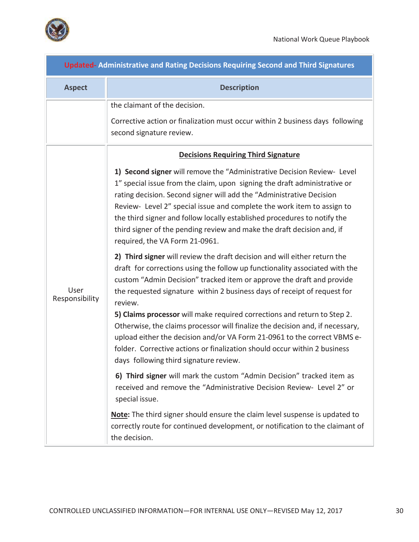

m)

| <b>Updated-Administrative and Rating Decisions Requiring Second and Third Signatures</b> |                                                                                                                                                                                                                                                                                                                                                                                                                                                                                                                                                                                                                                                |  |  |
|------------------------------------------------------------------------------------------|------------------------------------------------------------------------------------------------------------------------------------------------------------------------------------------------------------------------------------------------------------------------------------------------------------------------------------------------------------------------------------------------------------------------------------------------------------------------------------------------------------------------------------------------------------------------------------------------------------------------------------------------|--|--|
| <b>Aspect</b>                                                                            | <b>Description</b>                                                                                                                                                                                                                                                                                                                                                                                                                                                                                                                                                                                                                             |  |  |
|                                                                                          | the claimant of the decision.<br>Corrective action or finalization must occur within 2 business days following<br>second signature review.                                                                                                                                                                                                                                                                                                                                                                                                                                                                                                     |  |  |
|                                                                                          | <b>Decisions Requiring Third Signature</b>                                                                                                                                                                                                                                                                                                                                                                                                                                                                                                                                                                                                     |  |  |
| User<br>Responsibility                                                                   | 1) Second signer will remove the "Administrative Decision Review- Level<br>1" special issue from the claim, upon signing the draft administrative or<br>rating decision. Second signer will add the "Administrative Decision<br>Review- Level 2" special issue and complete the work item to assign to<br>the third signer and follow locally established procedures to notify the<br>third signer of the pending review and make the draft decision and, if<br>required, the VA Form 21-0961.                                                                                                                                                 |  |  |
|                                                                                          | 2) Third signer will review the draft decision and will either return the<br>draft for corrections using the follow up functionality associated with the<br>custom "Admin Decision" tracked item or approve the draft and provide<br>the requested signature within 2 business days of receipt of request for<br>review.<br>5) Claims processor will make required corrections and return to Step 2.<br>Otherwise, the claims processor will finalize the decision and, if necessary,<br>upload either the decision and/or VA Form 21-0961 to the correct VBMS e-<br>folder. Corrective actions or finalization should occur within 2 business |  |  |
|                                                                                          | days following third signature review.                                                                                                                                                                                                                                                                                                                                                                                                                                                                                                                                                                                                         |  |  |
|                                                                                          | 6) Third signer will mark the custom "Admin Decision" tracked item as<br>received and remove the "Administrative Decision Review- Level 2" or<br>special issue.                                                                                                                                                                                                                                                                                                                                                                                                                                                                                |  |  |
|                                                                                          | Note: The third signer should ensure the claim level suspense is updated to<br>correctly route for continued development, or notification to the claimant of<br>the decision.                                                                                                                                                                                                                                                                                                                                                                                                                                                                  |  |  |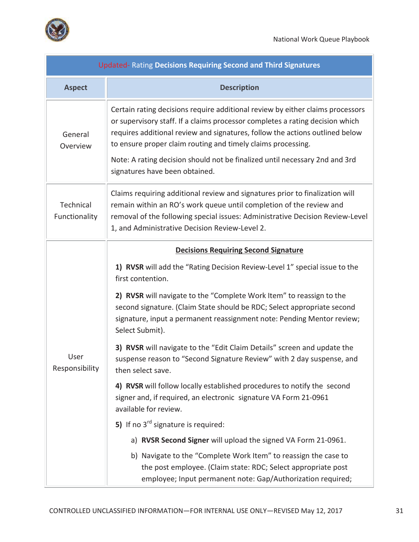

| <b>Updated- Rating Decisions Requiring Second and Third Signatures</b> |                                                                                                                                                                                                                                                                                                                                                                                                                                  |  |  |  |
|------------------------------------------------------------------------|----------------------------------------------------------------------------------------------------------------------------------------------------------------------------------------------------------------------------------------------------------------------------------------------------------------------------------------------------------------------------------------------------------------------------------|--|--|--|
| <b>Aspect</b>                                                          | <b>Description</b>                                                                                                                                                                                                                                                                                                                                                                                                               |  |  |  |
| General<br>Overview                                                    | Certain rating decisions require additional review by either claims processors<br>or supervisory staff. If a claims processor completes a rating decision which<br>requires additional review and signatures, follow the actions outlined below<br>to ensure proper claim routing and timely claims processing.<br>Note: A rating decision should not be finalized until necessary 2nd and 3rd<br>signatures have been obtained. |  |  |  |
| Technical<br>Functionality                                             | Claims requiring additional review and signatures prior to finalization will<br>remain within an RO's work queue until completion of the review and<br>removal of the following special issues: Administrative Decision Review-Level<br>1, and Administrative Decision Review-Level 2.                                                                                                                                           |  |  |  |
|                                                                        | <b>Decisions Requiring Second Signature</b>                                                                                                                                                                                                                                                                                                                                                                                      |  |  |  |
|                                                                        | 1) RVSR will add the "Rating Decision Review-Level 1" special issue to the<br>first contention.                                                                                                                                                                                                                                                                                                                                  |  |  |  |
| User<br>Responsibility                                                 | 2) RVSR will navigate to the "Complete Work Item" to reassign to the<br>second signature. (Claim State should be RDC; Select appropriate second<br>signature, input a permanent reassignment note: Pending Mentor review;<br>Select Submit).                                                                                                                                                                                     |  |  |  |
|                                                                        | 3) RVSR will navigate to the "Edit Claim Details" screen and update the<br>suspense reason to "Second Signature Review" with 2 day suspense, and<br>then select save.                                                                                                                                                                                                                                                            |  |  |  |
|                                                                        | 4) RVSR will follow locally established procedures to notify the second<br>signer and, if required, an electronic signature VA Form 21-0961<br>available for review.                                                                                                                                                                                                                                                             |  |  |  |
|                                                                        | 5) If no $3^{rd}$ signature is required:                                                                                                                                                                                                                                                                                                                                                                                         |  |  |  |
|                                                                        | a) RVSR Second Signer will upload the signed VA Form 21-0961.                                                                                                                                                                                                                                                                                                                                                                    |  |  |  |
|                                                                        | b) Navigate to the "Complete Work Item" to reassign the case to<br>the post employee. (Claim state: RDC; Select appropriate post<br>employee; Input permanent note: Gap/Authorization required;                                                                                                                                                                                                                                  |  |  |  |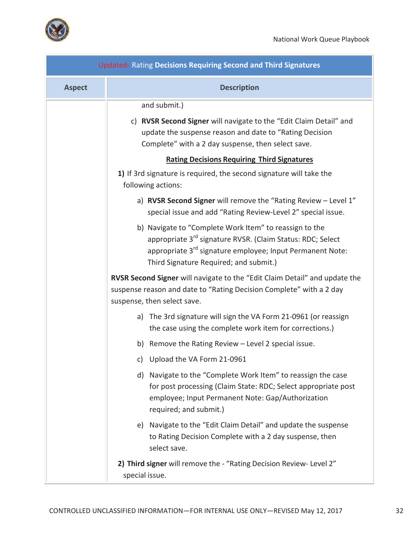

 $\overline{\phantom{a}}$ 

| <b>Updated- Rating Decisions Requiring Second and Third Signatures</b> |                                                                                                                                                                                                                                                     |  |
|------------------------------------------------------------------------|-----------------------------------------------------------------------------------------------------------------------------------------------------------------------------------------------------------------------------------------------------|--|
| <b>Aspect</b>                                                          | <b>Description</b>                                                                                                                                                                                                                                  |  |
|                                                                        | and submit.)                                                                                                                                                                                                                                        |  |
|                                                                        | c) RVSR Second Signer will navigate to the "Edit Claim Detail" and<br>update the suspense reason and date to "Rating Decision<br>Complete" with a 2 day suspense, then select save.                                                                 |  |
|                                                                        | <b>Rating Decisions Requiring Third Signatures</b>                                                                                                                                                                                                  |  |
|                                                                        | 1) If 3rd signature is required, the second signature will take the<br>following actions:                                                                                                                                                           |  |
|                                                                        | a) RVSR Second Signer will remove the "Rating Review - Level 1"<br>special issue and add "Rating Review-Level 2" special issue.                                                                                                                     |  |
|                                                                        | b) Navigate to "Complete Work Item" to reassign to the<br>appropriate 3 <sup>rd</sup> signature RVSR. (Claim Status: RDC; Select<br>appropriate 3 <sup>rd</sup> signature employee; Input Permanent Note:<br>Third Signature Required; and submit.) |  |
|                                                                        | RVSR Second Signer will navigate to the "Edit Claim Detail" and update the<br>suspense reason and date to "Rating Decision Complete" with a 2 day<br>suspense, then select save.                                                                    |  |
|                                                                        | a) The 3rd signature will sign the VA Form 21-0961 (or reassign<br>the case using the complete work item for corrections.)                                                                                                                          |  |
|                                                                        | b) Remove the Rating Review - Level 2 special issue.                                                                                                                                                                                                |  |
|                                                                        | c) Upload the VA Form 21-0961                                                                                                                                                                                                                       |  |
|                                                                        | d) Navigate to the "Complete Work Item" to reassign the case<br>for post processing (Claim State: RDC; Select appropriate post<br>employee; Input Permanent Note: Gap/Authorization<br>required; and submit.)                                       |  |
|                                                                        | e) Navigate to the "Edit Claim Detail" and update the suspense<br>to Rating Decision Complete with a 2 day suspense, then<br>select save.                                                                                                           |  |
|                                                                        | 2) Third signer will remove the - "Rating Decision Review- Level 2"<br>special issue.                                                                                                                                                               |  |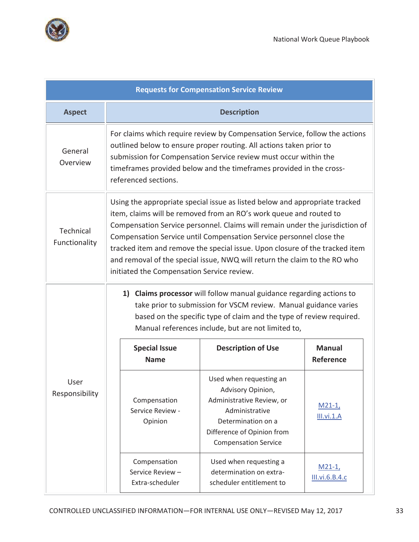

| <b>Requests for Compensation Service Review</b> |                                                                                                                                                                                                                                                                                                                                                                                                                                                                                                                    |                                                                                                                                                                                                                                                                                                                       |                                                                                                                                                                                                                                                                            |                            |
|-------------------------------------------------|--------------------------------------------------------------------------------------------------------------------------------------------------------------------------------------------------------------------------------------------------------------------------------------------------------------------------------------------------------------------------------------------------------------------------------------------------------------------------------------------------------------------|-----------------------------------------------------------------------------------------------------------------------------------------------------------------------------------------------------------------------------------------------------------------------------------------------------------------------|----------------------------------------------------------------------------------------------------------------------------------------------------------------------------------------------------------------------------------------------------------------------------|----------------------------|
| <b>Aspect</b>                                   |                                                                                                                                                                                                                                                                                                                                                                                                                                                                                                                    | <b>Description</b>                                                                                                                                                                                                                                                                                                    |                                                                                                                                                                                                                                                                            |                            |
| General<br>Overview                             |                                                                                                                                                                                                                                                                                                                                                                                                                                                                                                                    | For claims which require review by Compensation Service, follow the actions<br>outlined below to ensure proper routing. All actions taken prior to<br>submission for Compensation Service review must occur within the<br>timeframes provided below and the timeframes provided in the cross-<br>referenced sections. |                                                                                                                                                                                                                                                                            |                            |
| Technical<br>Functionality                      | Using the appropriate special issue as listed below and appropriate tracked<br>item, claims will be removed from an RO's work queue and routed to<br>Compensation Service personnel. Claims will remain under the jurisdiction of<br>Compensation Service until Compensation Service personnel close the<br>tracked item and remove the special issue. Upon closure of the tracked item<br>and removal of the special issue, NWQ will return the claim to the RO who<br>initiated the Compensation Service review. |                                                                                                                                                                                                                                                                                                                       |                                                                                                                                                                                                                                                                            |                            |
|                                                 |                                                                                                                                                                                                                                                                                                                                                                                                                                                                                                                    | 1)                                                                                                                                                                                                                                                                                                                    | <b>Claims processor</b> will follow manual guidance regarding actions to<br>take prior to submission for VSCM review. Manual guidance varies<br>based on the specific type of claim and the type of review required.<br>Manual references include, but are not limited to, |                            |
| User<br>Responsibility                          |                                                                                                                                                                                                                                                                                                                                                                                                                                                                                                                    | <b>Special Issue</b><br><b>Name</b>                                                                                                                                                                                                                                                                                   | <b>Description of Use</b>                                                                                                                                                                                                                                                  | <b>Manual</b><br>Reference |
|                                                 |                                                                                                                                                                                                                                                                                                                                                                                                                                                                                                                    | Compensation<br>Service Review -<br>Opinion                                                                                                                                                                                                                                                                           | Used when requesting an<br>Advisory Opinion,<br>Administrative Review, or<br>Administrative<br>Determination on a<br>Difference of Opinion from<br><b>Compensation Service</b>                                                                                             | $M21-1,$<br>III.vi.1.A     |
|                                                 |                                                                                                                                                                                                                                                                                                                                                                                                                                                                                                                    | Compensation<br>Service Review-<br>Extra-scheduler                                                                                                                                                                                                                                                                    | Used when requesting a<br>determination on extra-<br>scheduler entitlement to                                                                                                                                                                                              | $M21-1,$<br>III.vi.6.B.4.c |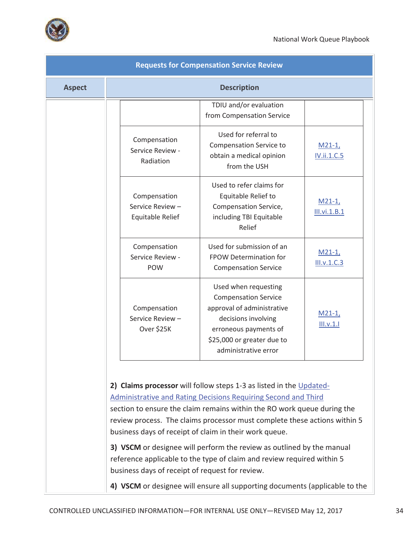

| <b>Requests for Compensation Service Review</b> |                                                      |                                                                                                                                                                                                                                                                                                                                                                |                          |
|-------------------------------------------------|------------------------------------------------------|----------------------------------------------------------------------------------------------------------------------------------------------------------------------------------------------------------------------------------------------------------------------------------------------------------------------------------------------------------------|--------------------------|
| <b>Aspect</b>                                   |                                                      | <b>Description</b>                                                                                                                                                                                                                                                                                                                                             |                          |
|                                                 |                                                      | TDIU and/or evaluation<br>from Compensation Service                                                                                                                                                                                                                                                                                                            |                          |
|                                                 | Compensation<br>Service Review -<br>Radiation        | Used for referral to<br><b>Compensation Service to</b><br>obtain a medical opinion<br>from the USH                                                                                                                                                                                                                                                             | $M21-1,$<br>IV.ii.1.C.5  |
|                                                 | Compensation<br>Service Review -<br>Equitable Relief | Used to refer claims for<br>Equitable Relief to<br>Compensation Service,<br>including TBI Equitable<br>Relief                                                                                                                                                                                                                                                  | $M21-1,$<br>III.vi.1.B.1 |
|                                                 | Compensation<br>Service Review -<br>POW              | Used for submission of an<br>FPOW Determination for<br><b>Compensation Service</b>                                                                                                                                                                                                                                                                             | $M21-1,$<br>III.v.1.C.3  |
|                                                 | Compensation<br>Service Review -<br>Over \$25K       | Used when requesting<br><b>Compensation Service</b><br>approval of administrative<br>decisions involving<br>erroneous payments of<br>\$25,000 or greater due to<br>administrative error                                                                                                                                                                        | $M21-1,$<br>III.v.1.1    |
|                                                 |                                                      | 2) Claims processor will follow steps 1-3 as listed in the Updated-<br><b>Administrative and Rating Decisions Requiring Second and Third</b><br>section to ensure the claim remains within the RO work queue during the<br>review process. The claims processor must complete these actions within 5<br>business days of receipt of claim in their work queue. |                          |
|                                                 | business days of receipt of request for review.      | 3) VSCM or designee will perform the review as outlined by the manual<br>reference applicable to the type of claim and review required within 5                                                                                                                                                                                                                |                          |
|                                                 |                                                      | 4) VSCM or designee will ensure all supporting documents (applicable to the                                                                                                                                                                                                                                                                                    |                          |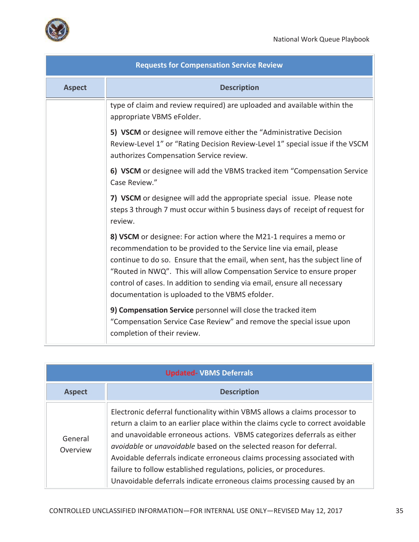| <b>Requests for Compensation Service Review</b> |                                                                                                                                                                                                                                                                                                                                                                                                                                   |  |
|-------------------------------------------------|-----------------------------------------------------------------------------------------------------------------------------------------------------------------------------------------------------------------------------------------------------------------------------------------------------------------------------------------------------------------------------------------------------------------------------------|--|
| <b>Aspect</b>                                   | <b>Description</b>                                                                                                                                                                                                                                                                                                                                                                                                                |  |
|                                                 | type of claim and review required) are uploaded and available within the<br>appropriate VBMS eFolder.                                                                                                                                                                                                                                                                                                                             |  |
|                                                 | 5) VSCM or designee will remove either the "Administrative Decision<br>Review-Level 1" or "Rating Decision Review-Level 1" special issue if the VSCM<br>authorizes Compensation Service review.                                                                                                                                                                                                                                   |  |
|                                                 | 6) VSCM or designee will add the VBMS tracked item "Compensation Service<br>Case Review."                                                                                                                                                                                                                                                                                                                                         |  |
|                                                 | 7) VSCM or designee will add the appropriate special issue. Please note<br>steps 3 through 7 must occur within 5 business days of receipt of request for<br>review.                                                                                                                                                                                                                                                               |  |
|                                                 | 8) VSCM or designee: For action where the M21-1 requires a memo or<br>recommendation to be provided to the Service line via email, please<br>continue to do so. Ensure that the email, when sent, has the subject line of<br>"Routed in NWQ". This will allow Compensation Service to ensure proper<br>control of cases. In addition to sending via email, ensure all necessary<br>documentation is uploaded to the VBMS efolder. |  |
|                                                 | 9) Compensation Service personnel will close the tracked item<br>"Compensation Service Case Review" and remove the special issue upon<br>completion of their review.                                                                                                                                                                                                                                                              |  |

| <b>Updated- VBMS Deferrals</b> |                                                                                                                                                                                                                                                                                                                                                                                                                                                                                                                                                             |  |
|--------------------------------|-------------------------------------------------------------------------------------------------------------------------------------------------------------------------------------------------------------------------------------------------------------------------------------------------------------------------------------------------------------------------------------------------------------------------------------------------------------------------------------------------------------------------------------------------------------|--|
| <b>Aspect</b>                  | <b>Description</b>                                                                                                                                                                                                                                                                                                                                                                                                                                                                                                                                          |  |
| General<br>Overview            | Electronic deferral functionality within VBMS allows a claims processor to<br>return a claim to an earlier place within the claims cycle to correct avoidable<br>and unavoidable erroneous actions. VBMS categorizes deferrals as either<br><i>avoidable</i> or <i>unavoidable</i> based on the selected reason for deferral.<br>Avoidable deferrals indicate erroneous claims processing associated with<br>failure to follow established regulations, policies, or procedures.<br>Unavoidable deferrals indicate erroneous claims processing caused by an |  |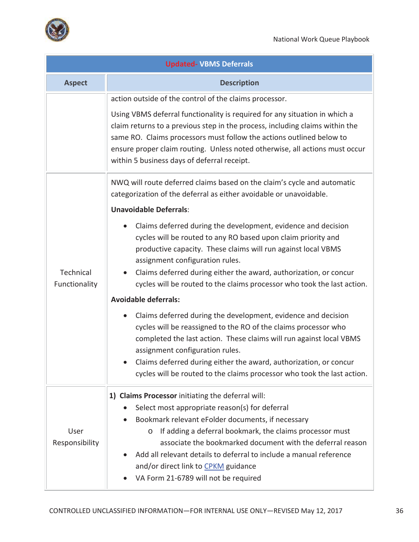

| <b>Updated- VBMS Deferrals</b> |                                                                                                                                                                                                                                                                                                                                                                                                         |  |  |
|--------------------------------|---------------------------------------------------------------------------------------------------------------------------------------------------------------------------------------------------------------------------------------------------------------------------------------------------------------------------------------------------------------------------------------------------------|--|--|
| <b>Aspect</b>                  | <b>Description</b>                                                                                                                                                                                                                                                                                                                                                                                      |  |  |
|                                | action outside of the control of the claims processor.                                                                                                                                                                                                                                                                                                                                                  |  |  |
|                                | Using VBMS deferral functionality is required for any situation in which a<br>claim returns to a previous step in the process, including claims within the<br>same RO. Claims processors must follow the actions outlined below to<br>ensure proper claim routing. Unless noted otherwise, all actions must occur<br>within 5 business days of deferral receipt.                                        |  |  |
|                                | NWQ will route deferred claims based on the claim's cycle and automatic<br>categorization of the deferral as either avoidable or unavoidable.                                                                                                                                                                                                                                                           |  |  |
|                                | <b>Unavoidable Deferrals:</b>                                                                                                                                                                                                                                                                                                                                                                           |  |  |
| Technical<br>Functionality     | Claims deferred during the development, evidence and decision<br>cycles will be routed to any RO based upon claim priority and<br>productive capacity. These claims will run against local VBMS<br>assignment configuration rules.<br>Claims deferred during either the award, authorization, or concur<br>$\bullet$<br>cycles will be routed to the claims processor who took the last action.         |  |  |
|                                | <b>Avoidable deferrals:</b>                                                                                                                                                                                                                                                                                                                                                                             |  |  |
|                                | Claims deferred during the development, evidence and decision<br>$\bullet$<br>cycles will be reassigned to the RO of the claims processor who<br>completed the last action. These claims will run against local VBMS<br>assignment configuration rules.<br>Claims deferred during either the award, authorization, or concur<br>cycles will be routed to the claims processor who took the last action. |  |  |
|                                | 1) Claims Processor initiating the deferral will:                                                                                                                                                                                                                                                                                                                                                       |  |  |
| User<br>Responsibility         | Select most appropriate reason(s) for deferral<br>Bookmark relevant eFolder documents, if necessary<br>If adding a deferral bookmark, the claims processor must<br>$\circ$<br>associate the bookmarked document with the deferral reason<br>Add all relevant details to deferral to include a manual reference<br>and/or direct link to CPKM guidance<br>VA Form 21-6789 will not be required           |  |  |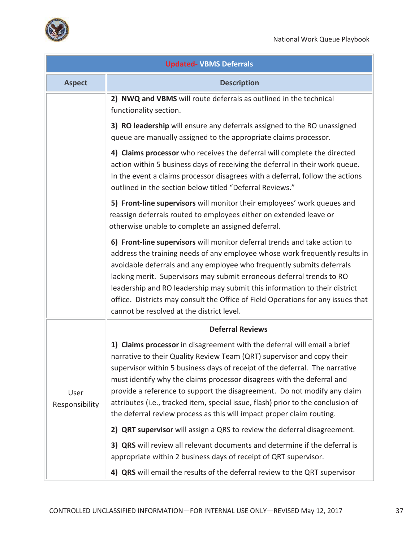

| <b>Updated- VBMS Deferrals</b> |                                                                                                                                                                                                                                                                                                                                                                                                                                                                                                                                                      |  |
|--------------------------------|------------------------------------------------------------------------------------------------------------------------------------------------------------------------------------------------------------------------------------------------------------------------------------------------------------------------------------------------------------------------------------------------------------------------------------------------------------------------------------------------------------------------------------------------------|--|
| <b>Aspect</b>                  | <b>Description</b>                                                                                                                                                                                                                                                                                                                                                                                                                                                                                                                                   |  |
|                                | 2) NWQ and VBMS will route deferrals as outlined in the technical<br>functionality section.                                                                                                                                                                                                                                                                                                                                                                                                                                                          |  |
|                                | 3) RO leadership will ensure any deferrals assigned to the RO unassigned<br>queue are manually assigned to the appropriate claims processor.                                                                                                                                                                                                                                                                                                                                                                                                         |  |
|                                | 4) Claims processor who receives the deferral will complete the directed<br>action within 5 business days of receiving the deferral in their work queue.<br>In the event a claims processor disagrees with a deferral, follow the actions<br>outlined in the section below titled "Deferral Reviews."                                                                                                                                                                                                                                                |  |
|                                | 5) Front-line supervisors will monitor their employees' work queues and<br>reassign deferrals routed to employees either on extended leave or<br>otherwise unable to complete an assigned deferral.                                                                                                                                                                                                                                                                                                                                                  |  |
|                                | 6) Front-line supervisors will monitor deferral trends and take action to<br>address the training needs of any employee whose work frequently results in<br>avoidable deferrals and any employee who frequently submits deferrals<br>lacking merit. Supervisors may submit erroneous deferral trends to RO<br>leadership and RO leadership may submit this information to their district<br>office. Districts may consult the Office of Field Operations for any issues that<br>cannot be resolved at the district level.                            |  |
|                                | <b>Deferral Reviews</b>                                                                                                                                                                                                                                                                                                                                                                                                                                                                                                                              |  |
| User<br>Responsibility         | 1) Claims processor in disagreement with the deferral will email a brief<br>narrative to their Quality Review Team (QRT) supervisor and copy their<br>supervisor within 5 business days of receipt of the deferral. The narrative<br>must identify why the claims processor disagrees with the deferral and<br>provide a reference to support the disagreement. Do not modify any claim<br>attributes (i.e., tracked item, special issue, flash) prior to the conclusion of<br>the deferral review process as this will impact proper claim routing. |  |
|                                | 2) QRT supervisor will assign a QRS to review the deferral disagreement.                                                                                                                                                                                                                                                                                                                                                                                                                                                                             |  |
|                                | 3) QRS will review all relevant documents and determine if the deferral is<br>appropriate within 2 business days of receipt of QRT supervisor.                                                                                                                                                                                                                                                                                                                                                                                                       |  |
|                                | 4) QRS will email the results of the deferral review to the QRT supervisor                                                                                                                                                                                                                                                                                                                                                                                                                                                                           |  |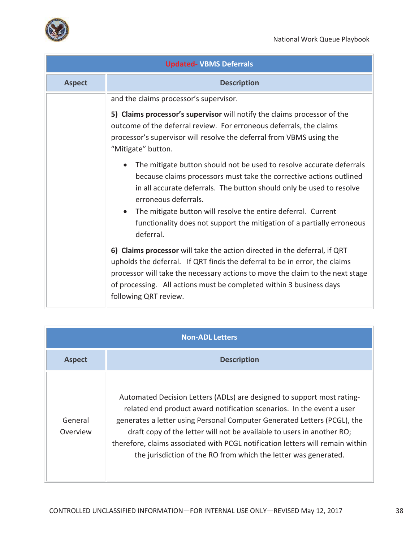

| <b>Updated- VBMS Deferrals</b> |                                                                                                                                                                                                                                                                                                                                                                                                                  |  |
|--------------------------------|------------------------------------------------------------------------------------------------------------------------------------------------------------------------------------------------------------------------------------------------------------------------------------------------------------------------------------------------------------------------------------------------------------------|--|
| <b>Aspect</b>                  | <b>Description</b>                                                                                                                                                                                                                                                                                                                                                                                               |  |
|                                | and the claims processor's supervisor.                                                                                                                                                                                                                                                                                                                                                                           |  |
|                                | 5) Claims processor's supervisor will notify the claims processor of the<br>outcome of the deferral review. For erroneous deferrals, the claims<br>processor's supervisor will resolve the deferral from VBMS using the<br>"Mitigate" button.                                                                                                                                                                    |  |
|                                | The mitigate button should not be used to resolve accurate deferrals<br>because claims processors must take the corrective actions outlined<br>in all accurate deferrals. The button should only be used to resolve<br>erroneous deferrals.<br>The mitigate button will resolve the entire deferral. Current<br>$\bullet$<br>functionality does not support the mitigation of a partially erroneous<br>deferral. |  |
|                                | 6) Claims processor will take the action directed in the deferral, if QRT<br>upholds the deferral. If QRT finds the deferral to be in error, the claims<br>processor will take the necessary actions to move the claim to the next stage<br>of processing. All actions must be completed within 3 business days<br>following QRT review.                                                                         |  |

| <b>Non-ADL Letters</b> |                                                                                                                                                                                                                                                                                                                                                                                                                                                            |  |
|------------------------|------------------------------------------------------------------------------------------------------------------------------------------------------------------------------------------------------------------------------------------------------------------------------------------------------------------------------------------------------------------------------------------------------------------------------------------------------------|--|
| <b>Aspect</b>          | <b>Description</b>                                                                                                                                                                                                                                                                                                                                                                                                                                         |  |
| General<br>Overview    | Automated Decision Letters (ADLs) are designed to support most rating-<br>related end product award notification scenarios. In the event a user<br>generates a letter using Personal Computer Generated Letters (PCGL), the<br>draft copy of the letter will not be available to users in another RO;<br>therefore, claims associated with PCGL notification letters will remain within<br>the jurisdiction of the RO from which the letter was generated. |  |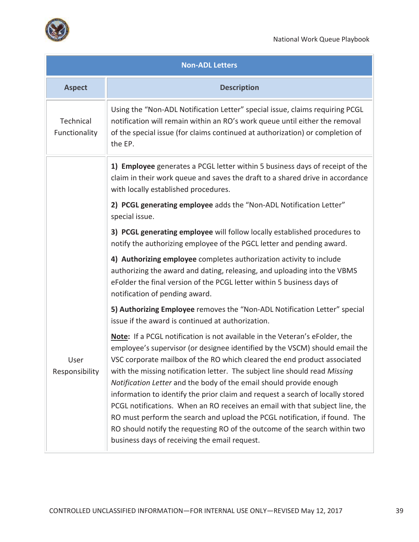

|                            | <b>Non-ADL Letters</b>                                                                                                                                                                                                                                                                                                                                                                                                                                                                                                                                                                                                                                                                                                                                                     |  |  |  |  |
|----------------------------|----------------------------------------------------------------------------------------------------------------------------------------------------------------------------------------------------------------------------------------------------------------------------------------------------------------------------------------------------------------------------------------------------------------------------------------------------------------------------------------------------------------------------------------------------------------------------------------------------------------------------------------------------------------------------------------------------------------------------------------------------------------------------|--|--|--|--|
| <b>Aspect</b>              | <b>Description</b>                                                                                                                                                                                                                                                                                                                                                                                                                                                                                                                                                                                                                                                                                                                                                         |  |  |  |  |
| Technical<br>Functionality | Using the "Non-ADL Notification Letter" special issue, claims requiring PCGL<br>notification will remain within an RO's work queue until either the removal<br>of the special issue (for claims continued at authorization) or completion of<br>the EP.                                                                                                                                                                                                                                                                                                                                                                                                                                                                                                                    |  |  |  |  |
|                            | 1) Employee generates a PCGL letter within 5 business days of receipt of the<br>claim in their work queue and saves the draft to a shared drive in accordance<br>with locally established procedures.                                                                                                                                                                                                                                                                                                                                                                                                                                                                                                                                                                      |  |  |  |  |
|                            | 2) PCGL generating employee adds the "Non-ADL Notification Letter"<br>special issue.                                                                                                                                                                                                                                                                                                                                                                                                                                                                                                                                                                                                                                                                                       |  |  |  |  |
|                            | 3) PCGL generating employee will follow locally established procedures to<br>notify the authorizing employee of the PGCL letter and pending award.                                                                                                                                                                                                                                                                                                                                                                                                                                                                                                                                                                                                                         |  |  |  |  |
|                            | 4) Authorizing employee completes authorization activity to include<br>authorizing the award and dating, releasing, and uploading into the VBMS<br>eFolder the final version of the PCGL letter within 5 business days of<br>notification of pending award.                                                                                                                                                                                                                                                                                                                                                                                                                                                                                                                |  |  |  |  |
|                            | 5) Authorizing Employee removes the "Non-ADL Notification Letter" special<br>issue if the award is continued at authorization.                                                                                                                                                                                                                                                                                                                                                                                                                                                                                                                                                                                                                                             |  |  |  |  |
| User<br>Responsibility     | Note: If a PCGL notification is not available in the Veteran's eFolder, the<br>employee's supervisor (or designee identified by the VSCM) should email the<br>VSC corporate mailbox of the RO which cleared the end product associated<br>with the missing notification letter. The subject line should read Missing<br>Notification Letter and the body of the email should provide enough<br>information to identify the prior claim and request a search of locally stored<br>PCGL notifications. When an RO receives an email with that subject line, the<br>RO must perform the search and upload the PCGL notification, if found. The<br>RO should notify the requesting RO of the outcome of the search within two<br>business days of receiving the email request. |  |  |  |  |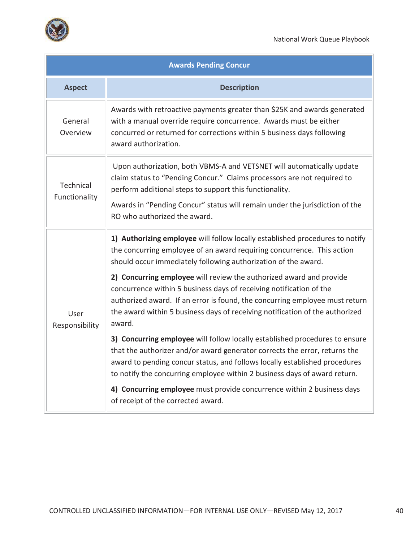



| <b>Awards Pending Concur</b> |                                                                                                                                                                                                                                                                                                                                                                                                                                                                                                                                                                                                                                                                                                                                                                                                                                                                         |  |  |  |  |
|------------------------------|-------------------------------------------------------------------------------------------------------------------------------------------------------------------------------------------------------------------------------------------------------------------------------------------------------------------------------------------------------------------------------------------------------------------------------------------------------------------------------------------------------------------------------------------------------------------------------------------------------------------------------------------------------------------------------------------------------------------------------------------------------------------------------------------------------------------------------------------------------------------------|--|--|--|--|
| <b>Aspect</b>                | <b>Description</b>                                                                                                                                                                                                                                                                                                                                                                                                                                                                                                                                                                                                                                                                                                                                                                                                                                                      |  |  |  |  |
| General<br>Overview          | Awards with retroactive payments greater than \$25K and awards generated<br>with a manual override require concurrence. Awards must be either<br>concurred or returned for corrections within 5 business days following<br>award authorization.                                                                                                                                                                                                                                                                                                                                                                                                                                                                                                                                                                                                                         |  |  |  |  |
| Technical<br>Functionality   | Upon authorization, both VBMS-A and VETSNET will automatically update<br>claim status to "Pending Concur." Claims processors are not required to<br>perform additional steps to support this functionality.<br>Awards in "Pending Concur" status will remain under the jurisdiction of the<br>RO who authorized the award.                                                                                                                                                                                                                                                                                                                                                                                                                                                                                                                                              |  |  |  |  |
| User<br>Responsibility       | 1) Authorizing employee will follow locally established procedures to notify<br>the concurring employee of an award requiring concurrence. This action<br>should occur immediately following authorization of the award.<br>2) Concurring employee will review the authorized award and provide<br>concurrence within 5 business days of receiving notification of the<br>authorized award. If an error is found, the concurring employee must return<br>the award within 5 business days of receiving notification of the authorized<br>award.<br>3) Concurring employee will follow locally established procedures to ensure<br>that the authorizer and/or award generator corrects the error, returns the<br>award to pending concur status, and follows locally established procedures<br>to notify the concurring employee within 2 business days of award return. |  |  |  |  |
|                              | 4) Concurring employee must provide concurrence within 2 business days<br>of receipt of the corrected award.                                                                                                                                                                                                                                                                                                                                                                                                                                                                                                                                                                                                                                                                                                                                                            |  |  |  |  |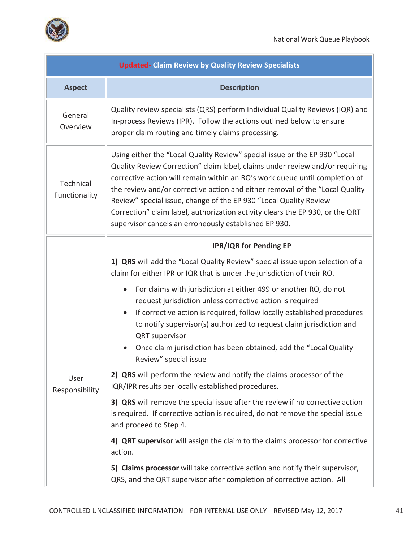

. i

|                            | <b>Updated- Claim Review by Quality Review Specialists</b>                                                                                                                                                                                                                                                                                                                                                                                                                                                                               |  |  |  |  |
|----------------------------|------------------------------------------------------------------------------------------------------------------------------------------------------------------------------------------------------------------------------------------------------------------------------------------------------------------------------------------------------------------------------------------------------------------------------------------------------------------------------------------------------------------------------------------|--|--|--|--|
| <b>Aspect</b>              | <b>Description</b>                                                                                                                                                                                                                                                                                                                                                                                                                                                                                                                       |  |  |  |  |
| General<br>Overview        | Quality review specialists (QRS) perform Individual Quality Reviews (IQR) and<br>In-process Reviews (IPR). Follow the actions outlined below to ensure<br>proper claim routing and timely claims processing.                                                                                                                                                                                                                                                                                                                             |  |  |  |  |
| Technical<br>Functionality | Using either the "Local Quality Review" special issue or the EP 930 "Local<br>Quality Review Correction" claim label, claims under review and/or requiring<br>corrective action will remain within an RO's work queue until completion of<br>the review and/or corrective action and either removal of the "Local Quality<br>Review" special issue, change of the EP 930 "Local Quality Review<br>Correction" claim label, authorization activity clears the EP 930, or the QRT<br>supervisor cancels an erroneously established EP 930. |  |  |  |  |
|                            | <b>IPR/IQR for Pending EP</b>                                                                                                                                                                                                                                                                                                                                                                                                                                                                                                            |  |  |  |  |
|                            | 1) QRS will add the "Local Quality Review" special issue upon selection of a<br>claim for either IPR or IQR that is under the jurisdiction of their RO.                                                                                                                                                                                                                                                                                                                                                                                  |  |  |  |  |
|                            | For claims with jurisdiction at either 499 or another RO, do not<br>request jurisdiction unless corrective action is required<br>If corrective action is required, follow locally established procedures<br>$\bullet$<br>to notify supervisor(s) authorized to request claim jurisdiction and<br><b>QRT</b> supervisor<br>Once claim jurisdiction has been obtained, add the "Local Quality<br>Review" special issue                                                                                                                     |  |  |  |  |
| User<br>Responsibility     | 2) QRS will perform the review and notify the claims processor of the<br>IQR/IPR results per locally established procedures.                                                                                                                                                                                                                                                                                                                                                                                                             |  |  |  |  |
|                            | 3) QRS will remove the special issue after the review if no corrective action<br>is required. If corrective action is required, do not remove the special issue<br>and proceed to Step 4.                                                                                                                                                                                                                                                                                                                                                |  |  |  |  |
|                            | 4) QRT supervisor will assign the claim to the claims processor for corrective<br>action.                                                                                                                                                                                                                                                                                                                                                                                                                                                |  |  |  |  |
|                            | 5) Claims processor will take corrective action and notify their supervisor,<br>QRS, and the QRT supervisor after completion of corrective action. All                                                                                                                                                                                                                                                                                                                                                                                   |  |  |  |  |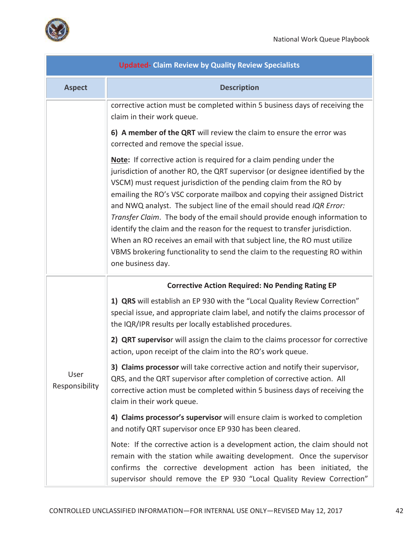

| <b>Updated- Claim Review by Quality Review Specialists</b>                                                                                                                                                                                                                                                                                                                                                                                                                                                                                                                                                                                                                                                                              |                                                                                                                                                                                                                                                                                                        |  |  |  |  |  |  |
|-----------------------------------------------------------------------------------------------------------------------------------------------------------------------------------------------------------------------------------------------------------------------------------------------------------------------------------------------------------------------------------------------------------------------------------------------------------------------------------------------------------------------------------------------------------------------------------------------------------------------------------------------------------------------------------------------------------------------------------------|--------------------------------------------------------------------------------------------------------------------------------------------------------------------------------------------------------------------------------------------------------------------------------------------------------|--|--|--|--|--|--|
| <b>Aspect</b>                                                                                                                                                                                                                                                                                                                                                                                                                                                                                                                                                                                                                                                                                                                           | <b>Description</b>                                                                                                                                                                                                                                                                                     |  |  |  |  |  |  |
|                                                                                                                                                                                                                                                                                                                                                                                                                                                                                                                                                                                                                                                                                                                                         | corrective action must be completed within 5 business days of receiving the<br>claim in their work queue.                                                                                                                                                                                              |  |  |  |  |  |  |
|                                                                                                                                                                                                                                                                                                                                                                                                                                                                                                                                                                                                                                                                                                                                         | 6) A member of the QRT will review the claim to ensure the error was<br>corrected and remove the special issue.                                                                                                                                                                                        |  |  |  |  |  |  |
| <b>Note:</b> If corrective action is required for a claim pending under the<br>jurisdiction of another RO, the QRT supervisor (or designee identified by the<br>VSCM) must request jurisdiction of the pending claim from the RO by<br>emailing the RO's VSC corporate mailbox and copying their assigned District<br>and NWQ analyst. The subject line of the email should read IQR Error:<br>Transfer Claim. The body of the email should provide enough information to<br>identify the claim and the reason for the request to transfer jurisdiction.<br>When an RO receives an email with that subject line, the RO must utilize<br>VBMS brokering functionality to send the claim to the requesting RO within<br>one business day. |                                                                                                                                                                                                                                                                                                        |  |  |  |  |  |  |
|                                                                                                                                                                                                                                                                                                                                                                                                                                                                                                                                                                                                                                                                                                                                         | <b>Corrective Action Required: No Pending Rating EP</b>                                                                                                                                                                                                                                                |  |  |  |  |  |  |
|                                                                                                                                                                                                                                                                                                                                                                                                                                                                                                                                                                                                                                                                                                                                         | 1) QRS will establish an EP 930 with the "Local Quality Review Correction"<br>special issue, and appropriate claim label, and notify the claims processor of<br>the IQR/IPR results per locally established procedures.                                                                                |  |  |  |  |  |  |
|                                                                                                                                                                                                                                                                                                                                                                                                                                                                                                                                                                                                                                                                                                                                         | 2) QRT supervisor will assign the claim to the claims processor for corrective<br>action, upon receipt of the claim into the RO's work queue.                                                                                                                                                          |  |  |  |  |  |  |
| User<br>Responsibility                                                                                                                                                                                                                                                                                                                                                                                                                                                                                                                                                                                                                                                                                                                  | 3) Claims processor will take corrective action and notify their supervisor,<br>QRS, and the QRT supervisor after completion of corrective action. All<br>corrective action must be completed within 5 business days of receiving the<br>claim in their work queue.                                    |  |  |  |  |  |  |
|                                                                                                                                                                                                                                                                                                                                                                                                                                                                                                                                                                                                                                                                                                                                         | 4) Claims processor's supervisor will ensure claim is worked to completion<br>and notify QRT supervisor once EP 930 has been cleared.                                                                                                                                                                  |  |  |  |  |  |  |
|                                                                                                                                                                                                                                                                                                                                                                                                                                                                                                                                                                                                                                                                                                                                         | Note: If the corrective action is a development action, the claim should not<br>remain with the station while awaiting development. Once the supervisor<br>confirms the corrective development action has been initiated, the<br>supervisor should remove the EP 930 "Local Quality Review Correction" |  |  |  |  |  |  |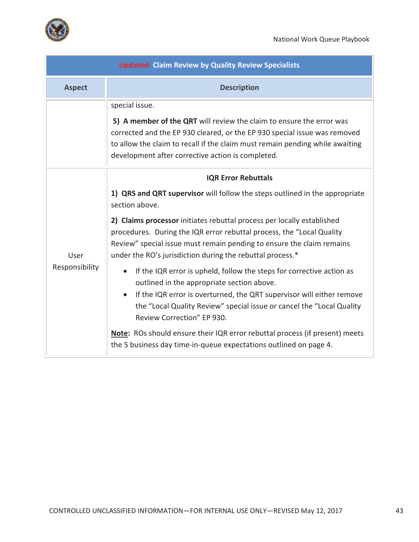

| <b>Updated- Claim Review by Quality Review Specialists</b> |                                                                                                                                                                                                                                                                                                                                                                                                                                                                                                                                                                                                                                                                                                                                                                                                                                                                                                     |  |  |  |  |
|------------------------------------------------------------|-----------------------------------------------------------------------------------------------------------------------------------------------------------------------------------------------------------------------------------------------------------------------------------------------------------------------------------------------------------------------------------------------------------------------------------------------------------------------------------------------------------------------------------------------------------------------------------------------------------------------------------------------------------------------------------------------------------------------------------------------------------------------------------------------------------------------------------------------------------------------------------------------------|--|--|--|--|
| <b>Aspect</b>                                              | <b>Description</b>                                                                                                                                                                                                                                                                                                                                                                                                                                                                                                                                                                                                                                                                                                                                                                                                                                                                                  |  |  |  |  |
|                                                            | special issue.<br>5) A member of the QRT will review the claim to ensure the error was<br>corrected and the EP 930 cleared, or the EP 930 special issue was removed<br>to allow the claim to recall if the claim must remain pending while awaiting<br>development after corrective action is completed.                                                                                                                                                                                                                                                                                                                                                                                                                                                                                                                                                                                            |  |  |  |  |
| User<br>Responsibility                                     | <b>IQR Error Rebuttals</b><br>1) QRS and QRT supervisor will follow the steps outlined in the appropriate<br>section above.<br>2) Claims processor initiates rebuttal process per locally established<br>procedures. During the IQR error rebuttal process, the "Local Quality<br>Review" special issue must remain pending to ensure the claim remains<br>under the RO's jurisdiction during the rebuttal process.*<br>If the IQR error is upheld, follow the steps for corrective action as<br>$\bullet$<br>outlined in the appropriate section above.<br>If the IQR error is overturned, the QRT supervisor will either remove<br>the "Local Quality Review" special issue or cancel the "Local Quality<br>Review Correction" EP 930.<br><b>Note:</b> ROs should ensure their IQR error rebuttal process (if present) meets<br>the 5 business day time-in-queue expectations outlined on page 4. |  |  |  |  |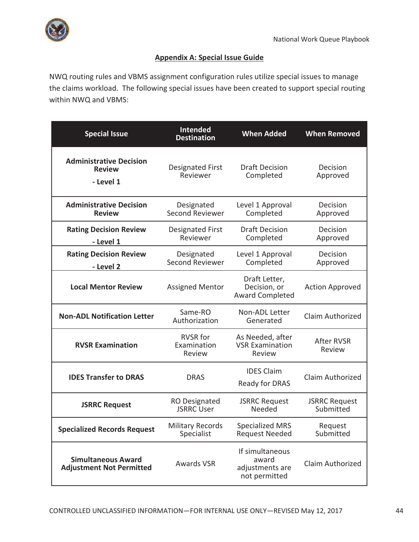

# **Appendix A: Special Issue Guide**

NWQ routing rules and VBMS assignment configuration rules utilize special issues to manage the claims workload. The following special issues have been created to support special routing within NWQ and VBMS:

| <b>Special Issue</b>                                         | <b>Intended</b><br><b>Destination</b>     | <b>When Added</b>                                            | <b>When Removed</b>               |
|--------------------------------------------------------------|-------------------------------------------|--------------------------------------------------------------|-----------------------------------|
| <b>Administrative Decision</b><br><b>Review</b><br>- Level 1 | <b>Designated First</b><br>Reviewer       | <b>Draft Decision</b><br>Completed                           | Decision<br>Approved              |
| <b>Administrative Decision</b><br><b>Review</b>              | Designated<br><b>Second Reviewer</b>      | Level 1 Approval<br>Completed                                | Decision<br>Approved              |
| <b>Rating Decision Review</b><br>- Level 1                   | <b>Designated First</b><br>Reviewer       | <b>Draft Decision</b><br>Completed                           | Decision<br>Approved              |
| <b>Rating Decision Review</b><br>- Level 2                   | Designated<br>Second Reviewer             | Level 1 Approval<br>Completed                                | Decision<br>Approved              |
| <b>Local Mentor Review</b>                                   | <b>Assigned Mentor</b>                    | Draft Letter,<br>Decision, or<br><b>Award Completed</b>      | <b>Action Approved</b>            |
| <b>Non-ADL Notification Letter</b>                           | Same-RO<br>Authorization                  | Non-ADL Letter<br>Claim Authorized<br>Generated              |                                   |
| <b>RVSR Examination</b>                                      | <b>RVSR</b> for<br>Examination<br>Review  | As Needed, after<br><b>VSR Examination</b><br>Review         | <b>After RVSR</b><br>Review       |
| <b>IDES Transfer to DRAS</b>                                 | <b>DRAS</b>                               | <b>IDES Claim</b><br>Ready for DRAS                          | Claim Authorized                  |
| <b>JSRRC Request</b>                                         | <b>RO Designated</b><br><b>JSRRC User</b> | <b>JSRRC Request</b><br>Needed                               | <b>JSRRC Request</b><br>Submitted |
| <b>Specialized Records Request</b>                           | <b>Military Records</b><br>Specialist     | <b>Specialized MRS</b><br><b>Request Needed</b>              | Request<br>Submitted              |
| <b>Simultaneous Award</b><br><b>Adjustment Not Permitted</b> | <b>Awards VSR</b>                         | If simultaneous<br>award<br>adjustments are<br>not permitted | Claim Authorized                  |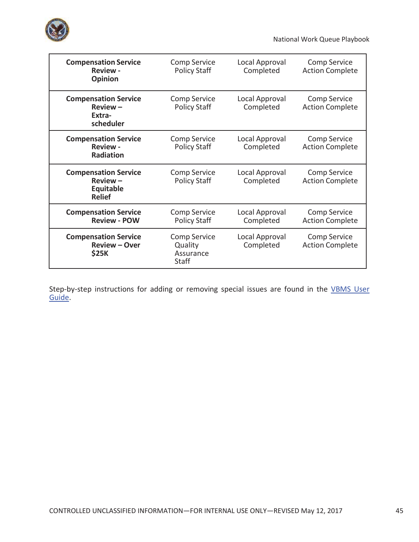

National Work Queue Playbook

| <b>Compensation Service</b><br><b>Review -</b><br><b>Opinion</b>               | Comp Service<br><b>Policy Staff</b>                  | Local Approval<br>Completed | Comp Service<br><b>Action Complete</b>        |
|--------------------------------------------------------------------------------|------------------------------------------------------|-----------------------------|-----------------------------------------------|
| <b>Compensation Service</b><br>$Review -$<br>Extra-<br>scheduler               | Comp Service<br><b>Policy Staff</b>                  | Local Approval<br>Completed | Comp Service<br><b>Action Complete</b>        |
| <b>Compensation Service</b><br><b>Review -</b><br><b>Radiation</b>             | Comp Service<br><b>Policy Staff</b>                  | Local Approval<br>Completed | Comp Service<br><b>Action Complete</b>        |
| <b>Compensation Service</b><br>$Review -$<br><b>Equitable</b><br><b>Relief</b> | Comp Service<br><b>Policy Staff</b>                  | Local Approval<br>Completed | Comp Service<br><b>Action Complete</b>        |
| <b>Compensation Service</b><br><b>Review - POW</b>                             | <b>Comp Service</b><br><b>Policy Staff</b>           | Local Approval<br>Completed | <b>Comp Service</b><br><b>Action Complete</b> |
| <b>Compensation Service</b><br><b>Review - Over</b><br><b>\$25K</b>            | Comp Service<br>Quality<br>Assurance<br><b>Staff</b> | Local Approval<br>Completed | <b>Comp Service</b><br><b>Action Complete</b> |

Step-by-step instructions for adding or removing special issues are found in the VBMS User Guide.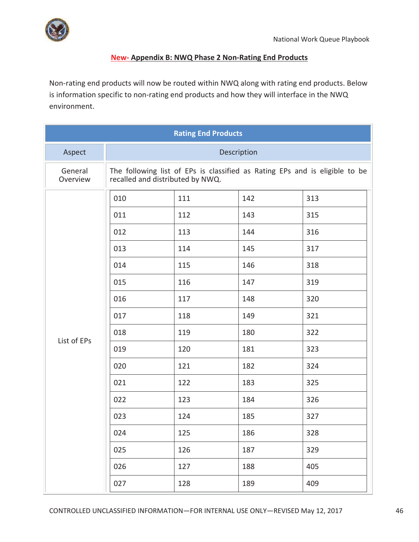

# **New- Appendix B: NWQ Phase 2 Non-Rating End Products**

Non-rating end products will now be routed within NWQ along with rating end products. Below is information specific to non-rating end products and how they will interface in the NWQ environment.

| <b>Rating End Products</b> |                                                                                                                 |     |     |     |  |
|----------------------------|-----------------------------------------------------------------------------------------------------------------|-----|-----|-----|--|
| Aspect                     | Description                                                                                                     |     |     |     |  |
| General<br>Overview        | The following list of EPs is classified as Rating EPs and is eligible to be<br>recalled and distributed by NWQ. |     |     |     |  |
|                            | 010                                                                                                             | 111 | 142 | 313 |  |
|                            | 011                                                                                                             | 112 | 143 | 315 |  |
|                            | 012                                                                                                             | 113 | 144 | 316 |  |
|                            | 013                                                                                                             | 114 | 145 | 317 |  |
|                            | 014                                                                                                             | 115 | 146 | 318 |  |
|                            | 015                                                                                                             | 116 | 147 | 319 |  |
|                            | 016                                                                                                             | 117 | 148 | 320 |  |
|                            | 017                                                                                                             | 118 | 149 | 321 |  |
| List of EPs                | 018                                                                                                             | 119 | 180 | 322 |  |
|                            | 019                                                                                                             | 120 | 181 | 323 |  |
|                            | 020                                                                                                             | 121 | 182 | 324 |  |
|                            | 021                                                                                                             | 122 | 183 | 325 |  |
|                            | 022                                                                                                             | 123 | 184 | 326 |  |
|                            | 023                                                                                                             | 124 | 185 | 327 |  |
|                            | 024                                                                                                             | 125 | 186 | 328 |  |
|                            | 025                                                                                                             | 126 | 187 | 329 |  |
|                            | 026                                                                                                             | 127 | 188 | 405 |  |
|                            | 027                                                                                                             | 128 | 189 | 409 |  |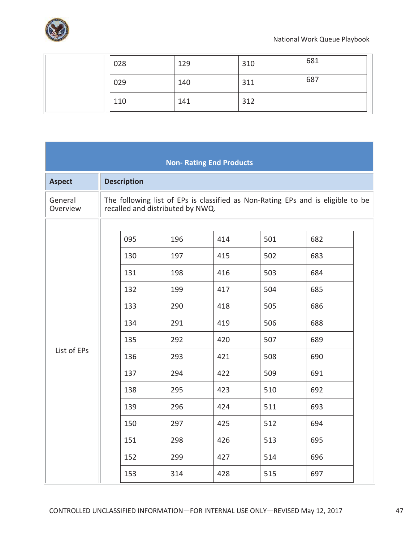

| 028 | 129 | 310 | 681 |
|-----|-----|-----|-----|
| 029 | 140 | 311 | 687 |
| 110 | 141 | 312 |     |

| <b>Non- Rating End Products</b>                                                                       |                                                                                                       |                                                                                                       |                                                                                                       |                                                                                                       |                                                                                 |
|-------------------------------------------------------------------------------------------------------|-------------------------------------------------------------------------------------------------------|-------------------------------------------------------------------------------------------------------|-------------------------------------------------------------------------------------------------------|-------------------------------------------------------------------------------------------------------|---------------------------------------------------------------------------------|
| <b>Description</b>                                                                                    |                                                                                                       |                                                                                                       |                                                                                                       |                                                                                                       |                                                                                 |
|                                                                                                       |                                                                                                       |                                                                                                       |                                                                                                       |                                                                                                       |                                                                                 |
| 095<br>130<br>131<br>132<br>133<br>134<br>135<br>136<br>137<br>138<br>139<br>150<br>151<br>152<br>153 | 196<br>197<br>198<br>199<br>290<br>291<br>292<br>293<br>294<br>295<br>296<br>297<br>298<br>299<br>314 | 414<br>415<br>416<br>417<br>418<br>419<br>420<br>421<br>422<br>423<br>424<br>425<br>426<br>427<br>428 | 501<br>502<br>503<br>504<br>505<br>506<br>507<br>508<br>509<br>510<br>511<br>512<br>513<br>514<br>515 | 682<br>683<br>684<br>685<br>686<br>688<br>689<br>690<br>691<br>692<br>693<br>694<br>695<br>696<br>697 |                                                                                 |
|                                                                                                       |                                                                                                       |                                                                                                       | recalled and distributed by NWQ.                                                                      |                                                                                                       | The following list of EPs is classified as Non-Rating EPs and is eligible to be |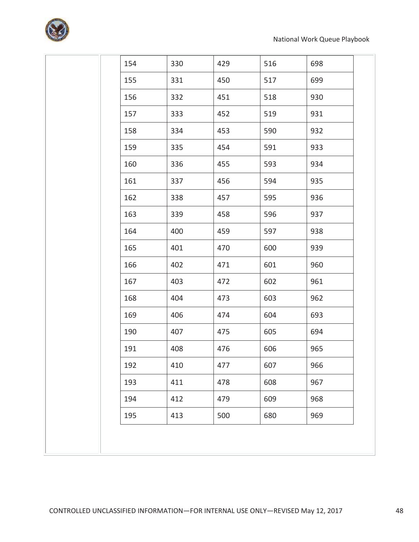

| 154 | 330 | 429 | 516 | 698 |
|-----|-----|-----|-----|-----|
| 155 | 331 | 450 | 517 | 699 |
| 156 | 332 | 451 | 518 | 930 |
| 157 | 333 | 452 | 519 | 931 |
| 158 | 334 | 453 | 590 | 932 |
| 159 | 335 | 454 | 591 | 933 |
| 160 | 336 | 455 | 593 | 934 |
| 161 | 337 | 456 | 594 | 935 |
| 162 | 338 | 457 | 595 | 936 |
| 163 | 339 | 458 | 596 | 937 |
| 164 | 400 | 459 | 597 | 938 |
| 165 | 401 | 470 | 600 | 939 |
| 166 | 402 | 471 | 601 | 960 |
| 167 | 403 | 472 | 602 | 961 |
| 168 | 404 | 473 | 603 | 962 |
| 169 | 406 | 474 | 604 | 693 |
| 190 | 407 | 475 | 605 | 694 |
| 191 | 408 | 476 | 606 | 965 |
| 192 | 410 | 477 | 607 | 966 |
| 193 | 411 | 478 | 608 | 967 |
| 194 | 412 | 479 | 609 | 968 |
| 195 | 413 | 500 | 680 | 969 |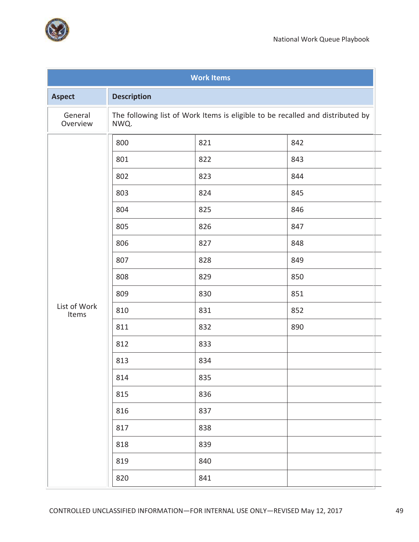

| <b>Work Items</b>     |                    |                                                                                |     |  |  |
|-----------------------|--------------------|--------------------------------------------------------------------------------|-----|--|--|
| <b>Aspect</b>         | <b>Description</b> |                                                                                |     |  |  |
| General<br>Overview   | NWQ.               | The following list of Work Items is eligible to be recalled and distributed by |     |  |  |
|                       | 800                | 821                                                                            | 842 |  |  |
|                       | 801                | 822                                                                            | 843 |  |  |
|                       | 802                | 823                                                                            | 844 |  |  |
|                       | 803                | 824                                                                            | 845 |  |  |
|                       | 804                | 825                                                                            | 846 |  |  |
|                       | 805                | 826                                                                            | 847 |  |  |
|                       | 806                | 827                                                                            | 848 |  |  |
|                       | 807                | 828                                                                            | 849 |  |  |
|                       | 808                | 829                                                                            | 850 |  |  |
|                       | 809                | 830                                                                            | 851 |  |  |
| List of Work<br>Items | 810                | 831                                                                            | 852 |  |  |
|                       | 811                | 832                                                                            | 890 |  |  |
|                       | 812                | 833                                                                            |     |  |  |
|                       | 813                | 834                                                                            |     |  |  |
|                       | 814                | 835                                                                            |     |  |  |
|                       | 815                | 836                                                                            |     |  |  |
|                       | 816                | 837                                                                            |     |  |  |
|                       | 817                | 838                                                                            |     |  |  |
|                       | 818                | 839                                                                            |     |  |  |
|                       | 819                | 840                                                                            |     |  |  |
|                       | 820                | 841                                                                            |     |  |  |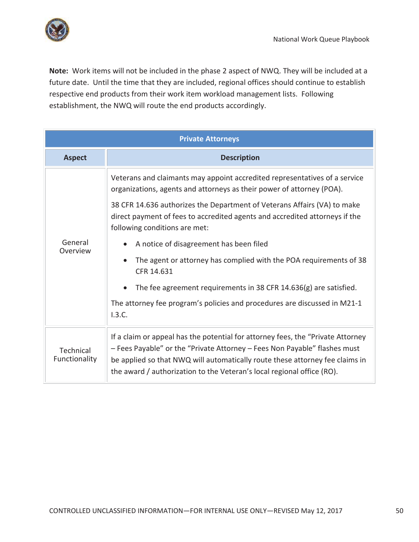

**Note:** Work items will not be included in the phase 2 aspect of NWQ. They will be included at a future date. Until the time that they are included, regional offices should continue to establish respective end products from their work item workload management lists. Following establishment, the NWQ will route the end products accordingly.

| <b>Private Attorneys</b>   |                                                                                                                                                                                                                                                                                                                         |  |
|----------------------------|-------------------------------------------------------------------------------------------------------------------------------------------------------------------------------------------------------------------------------------------------------------------------------------------------------------------------|--|
| <b>Aspect</b>              | <b>Description</b>                                                                                                                                                                                                                                                                                                      |  |
|                            | Veterans and claimants may appoint accredited representatives of a service<br>organizations, agents and attorneys as their power of attorney (POA).                                                                                                                                                                     |  |
|                            | 38 CFR 14.636 authorizes the Department of Veterans Affairs (VA) to make<br>direct payment of fees to accredited agents and accredited attorneys if the<br>following conditions are met:                                                                                                                                |  |
| General<br>Overview        | A notice of disagreement has been filed                                                                                                                                                                                                                                                                                 |  |
|                            | The agent or attorney has complied with the POA requirements of 38<br>CFR 14.631                                                                                                                                                                                                                                        |  |
|                            | The fee agreement requirements in 38 CFR 14.636(g) are satisfied.                                                                                                                                                                                                                                                       |  |
|                            | The attorney fee program's policies and procedures are discussed in M21-1<br>1.3.C.                                                                                                                                                                                                                                     |  |
| Technical<br>Functionality | If a claim or appeal has the potential for attorney fees, the "Private Attorney"<br>- Fees Payable" or the "Private Attorney - Fees Non Payable" flashes must<br>be applied so that NWQ will automatically route these attorney fee claims in<br>the award / authorization to the Veteran's local regional office (RO). |  |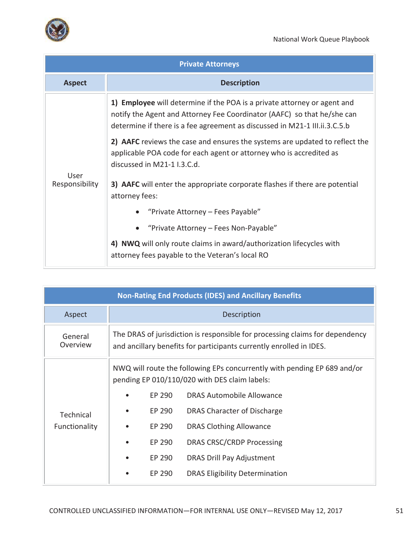

| <b>Private Attorneys</b> |                                                                                                                                                                                                                                   |  |  |
|--------------------------|-----------------------------------------------------------------------------------------------------------------------------------------------------------------------------------------------------------------------------------|--|--|
| <b>Aspect</b>            | <b>Description</b>                                                                                                                                                                                                                |  |  |
| User<br>Responsibility   | 1) Employee will determine if the POA is a private attorney or agent and<br>notify the Agent and Attorney Fee Coordinator (AAFC) so that he/she can<br>determine if there is a fee agreement as discussed in M21-1 III.ii.3.C.5.b |  |  |
|                          | 2) AAFC reviews the case and ensures the systems are updated to reflect the<br>applicable POA code for each agent or attorney who is accredited as<br>discussed in M21-1 I.3.C.d.                                                 |  |  |
|                          | 3) AAFC will enter the appropriate corporate flashes if there are potential<br>attorney fees:                                                                                                                                     |  |  |
|                          | "Private Attorney - Fees Payable"                                                                                                                                                                                                 |  |  |
|                          | "Private Attorney - Fees Non-Payable"                                                                                                                                                                                             |  |  |
|                          | 4) NWQ will only route claims in award/authorization lifecycles with<br>attorney fees payable to the Veteran's local RO                                                                                                           |  |  |

| <b>Non-Rating End Products (IDES) and Ancillary Benefits</b> |                                                                                                                                                     |        |                                       |
|--------------------------------------------------------------|-----------------------------------------------------------------------------------------------------------------------------------------------------|--------|---------------------------------------|
| Aspect                                                       | Description                                                                                                                                         |        |                                       |
| General<br>Overview                                          | The DRAS of jurisdiction is responsible for processing claims for dependency<br>and ancillary benefits for participants currently enrolled in IDES. |        |                                       |
|                                                              | NWQ will route the following EPs concurrently with pending EP 689 and/or<br>pending EP 010/110/020 with DES claim labels:                           |        |                                       |
|                                                              |                                                                                                                                                     | EP 290 | DRAS Automobile Allowance             |
| Technical                                                    |                                                                                                                                                     | EP 290 | DRAS Character of Discharge           |
| Functionality                                                |                                                                                                                                                     | EP 290 | <b>DRAS Clothing Allowance</b>        |
|                                                              |                                                                                                                                                     | EP 290 | DRAS CRSC/CRDP Processing             |
|                                                              |                                                                                                                                                     | EP 290 | DRAS Drill Pay Adjustment             |
|                                                              |                                                                                                                                                     | EP 290 | <b>DRAS Eligibility Determination</b> |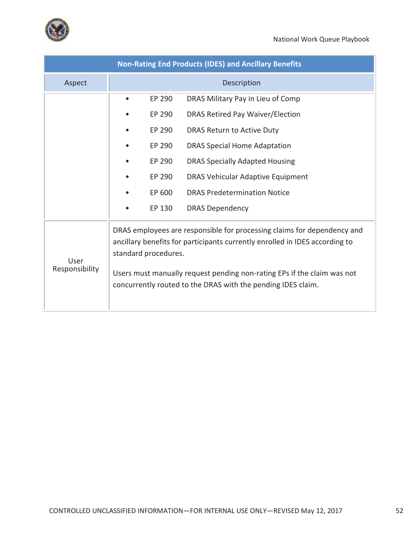

| <b>Non-Rating End Products (IDES) and Ancillary Benefits</b> |                                                                                                                                                                                                                                                                                                                           |  |  |
|--------------------------------------------------------------|---------------------------------------------------------------------------------------------------------------------------------------------------------------------------------------------------------------------------------------------------------------------------------------------------------------------------|--|--|
| Aspect                                                       | Description                                                                                                                                                                                                                                                                                                               |  |  |
|                                                              | EP 290<br>DRAS Military Pay in Lieu of Comp                                                                                                                                                                                                                                                                               |  |  |
|                                                              | EP 290<br>DRAS Retired Pay Waiver/Election                                                                                                                                                                                                                                                                                |  |  |
|                                                              | EP 290<br>DRAS Return to Active Duty                                                                                                                                                                                                                                                                                      |  |  |
|                                                              | EP 290<br><b>DRAS Special Home Adaptation</b>                                                                                                                                                                                                                                                                             |  |  |
|                                                              | EP 290<br><b>DRAS Specially Adapted Housing</b>                                                                                                                                                                                                                                                                           |  |  |
|                                                              | EP 290<br>DRAS Vehicular Adaptive Equipment                                                                                                                                                                                                                                                                               |  |  |
|                                                              | EP 600<br><b>DRAS Predetermination Notice</b>                                                                                                                                                                                                                                                                             |  |  |
|                                                              | EP 130<br><b>DRAS Dependency</b>                                                                                                                                                                                                                                                                                          |  |  |
| User<br>Responsibility                                       | DRAS employees are responsible for processing claims for dependency and<br>ancillary benefits for participants currently enrolled in IDES according to<br>standard procedures.<br>Users must manually request pending non-rating EPs if the claim was not<br>concurrently routed to the DRAS with the pending IDES claim. |  |  |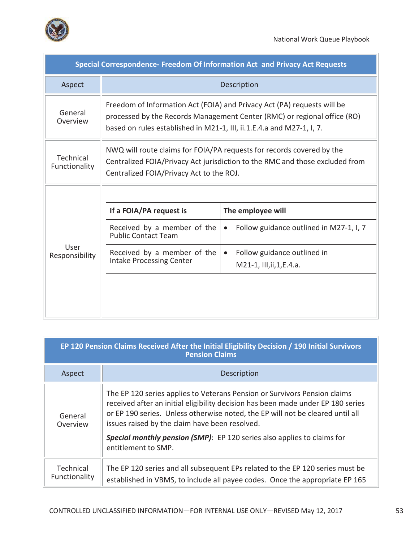

п

| Special Correspondence- Freedom Of Information Act and Privacy Act Requests |                                                                                                                                                                                                                              |                                                      |  |
|-----------------------------------------------------------------------------|------------------------------------------------------------------------------------------------------------------------------------------------------------------------------------------------------------------------------|------------------------------------------------------|--|
| Aspect                                                                      | Description                                                                                                                                                                                                                  |                                                      |  |
| General<br>Overview                                                         | Freedom of Information Act (FOIA) and Privacy Act (PA) requests will be<br>processed by the Records Management Center (RMC) or regional office (RO)<br>based on rules established in M21-1, III, ii.1.E.4.a and M27-1, I, 7. |                                                      |  |
| Technical<br>Functionality                                                  | NWQ will route claims for FOIA/PA requests for records covered by the<br>Centralized FOIA/Privacy Act jurisdiction to the RMC and those excluded from<br>Centralized FOIA/Privacy Act to the ROJ.                            |                                                      |  |
|                                                                             |                                                                                                                                                                                                                              |                                                      |  |
|                                                                             | If a FOIA/PA request is                                                                                                                                                                                                      | The employee will                                    |  |
| User<br>Responsibility                                                      | Received by a member of the<br><b>Public Contact Team</b>                                                                                                                                                                    | Follow guidance outlined in M27-1, I, 7<br>$\bullet$ |  |
|                                                                             | Received by a member of the<br><b>Intake Processing Center</b>                                                                                                                                                               | Follow guidance outlined in<br>$\bullet$             |  |
|                                                                             |                                                                                                                                                                                                                              | M21-1, III, ii, 1, E.4. a.                           |  |
|                                                                             |                                                                                                                                                                                                                              |                                                      |  |

| EP 120 Pension Claims Received After the Initial Eligibility Decision / 190 Initial Survivors<br><b>Pension Claims</b> |                                                                                                                                                                                                                                                                                                   |  |
|------------------------------------------------------------------------------------------------------------------------|---------------------------------------------------------------------------------------------------------------------------------------------------------------------------------------------------------------------------------------------------------------------------------------------------|--|
| Aspect                                                                                                                 | Description                                                                                                                                                                                                                                                                                       |  |
| General<br>Overview                                                                                                    | The EP 120 series applies to Veterans Pension or Survivors Pension claims<br>received after an initial eligibility decision has been made under EP 180 series<br>or EP 190 series. Unless otherwise noted, the EP will not be cleared until all<br>issues raised by the claim have been resolved. |  |
|                                                                                                                        | <b>Special monthly pension (SMP)</b> : EP 120 series also applies to claims for<br>entitlement to SMP.                                                                                                                                                                                            |  |
| Technical<br>Functionality                                                                                             | The EP 120 series and all subsequent EPs related to the EP 120 series must be<br>established in VBMS, to include all payee codes. Once the appropriate EP 165                                                                                                                                     |  |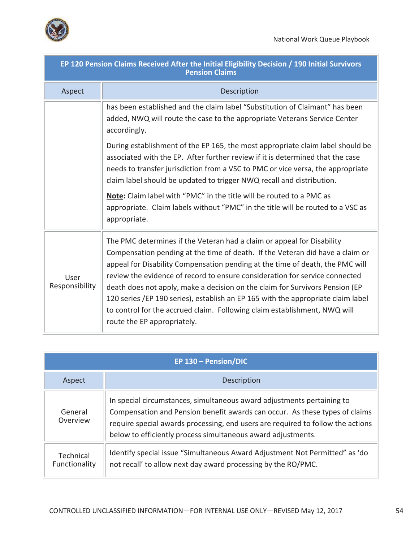

| EP 120 Pension Claims Received After the Initial Eligibility Decision / 190 Initial Survivors<br><b>Pension Claims</b> |                                                                                                                                                                                                                                                                                                                                                                                                                                                                                                                                                                                                         |  |  |
|------------------------------------------------------------------------------------------------------------------------|---------------------------------------------------------------------------------------------------------------------------------------------------------------------------------------------------------------------------------------------------------------------------------------------------------------------------------------------------------------------------------------------------------------------------------------------------------------------------------------------------------------------------------------------------------------------------------------------------------|--|--|
| Aspect                                                                                                                 | Description                                                                                                                                                                                                                                                                                                                                                                                                                                                                                                                                                                                             |  |  |
|                                                                                                                        | has been established and the claim label "Substitution of Claimant" has been<br>added, NWQ will route the case to the appropriate Veterans Service Center<br>accordingly.                                                                                                                                                                                                                                                                                                                                                                                                                               |  |  |
|                                                                                                                        | During establishment of the EP 165, the most appropriate claim label should be<br>associated with the EP. After further review if it is determined that the case<br>needs to transfer jurisdiction from a VSC to PMC or vice versa, the appropriate<br>claim label should be updated to trigger NWQ recall and distribution.                                                                                                                                                                                                                                                                            |  |  |
|                                                                                                                        | Note: Claim label with "PMC" in the title will be routed to a PMC as<br>appropriate. Claim labels without "PMC" in the title will be routed to a VSC as<br>appropriate.                                                                                                                                                                                                                                                                                                                                                                                                                                 |  |  |
| User<br>Responsibility                                                                                                 | The PMC determines if the Veteran had a claim or appeal for Disability<br>Compensation pending at the time of death. If the Veteran did have a claim or<br>appeal for Disability Compensation pending at the time of death, the PMC will<br>review the evidence of record to ensure consideration for service connected<br>death does not apply, make a decision on the claim for Survivors Pension (EP<br>120 series /EP 190 series), establish an EP 165 with the appropriate claim label<br>to control for the accrued claim. Following claim establishment, NWQ will<br>route the EP appropriately. |  |  |

| EP 130 - Pension/DIC       |                                                                                                                                                                                                                                                                                                          |  |
|----------------------------|----------------------------------------------------------------------------------------------------------------------------------------------------------------------------------------------------------------------------------------------------------------------------------------------------------|--|
| Aspect                     | Description                                                                                                                                                                                                                                                                                              |  |
| General<br>Overview        | In special circumstances, simultaneous award adjustments pertaining to<br>Compensation and Pension benefit awards can occur. As these types of claims<br>require special awards processing, end users are required to follow the actions<br>below to efficiently process simultaneous award adjustments. |  |
| Technical<br>Functionality | Identify special issue "Simultaneous Award Adjustment Not Permitted" as 'do<br>not recall' to allow next day award processing by the RO/PMC.                                                                                                                                                             |  |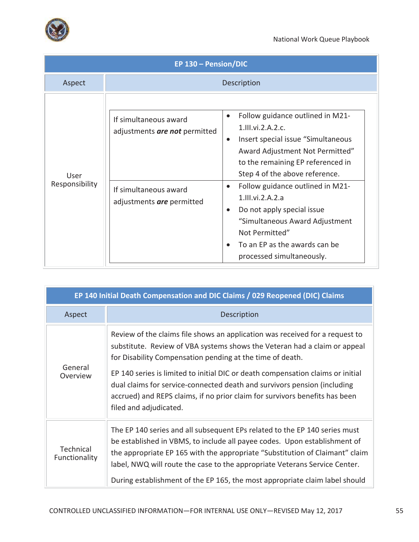

| EP 130 - Pension/DIC   |                                                                                                              |                                                                                                                                                                                                                                                                                                                                                                                                                                                                                    |
|------------------------|--------------------------------------------------------------------------------------------------------------|------------------------------------------------------------------------------------------------------------------------------------------------------------------------------------------------------------------------------------------------------------------------------------------------------------------------------------------------------------------------------------------------------------------------------------------------------------------------------------|
| Aspect                 |                                                                                                              | Description                                                                                                                                                                                                                                                                                                                                                                                                                                                                        |
| User<br>Responsibility | If simultaneous award<br>adjustments are not permitted<br>If simultaneous award<br>adjustments are permitted | Follow guidance outlined in M21-<br>$\bullet$<br>1.111.vi.2.A.2.c.<br>Insert special issue "Simultaneous"<br>$\bullet$<br>Award Adjustment Not Permitted"<br>to the remaining EP referenced in<br>Step 4 of the above reference.<br>Follow guidance outlined in M21-<br>$\bullet$<br>$1.$ III.vi.2.A.2.a<br>Do not apply special issue<br>$\bullet$<br>"Simultaneous Award Adjustment<br>Not Permitted"<br>To an EP as the awards can be<br>$\bullet$<br>processed simultaneously. |

| EP 140 Initial Death Compensation and DIC Claims / 029 Reopened (DIC) Claims |                                                                                                                                                                                                                                                                                                                                                                                                                                                                                                |  |  |
|------------------------------------------------------------------------------|------------------------------------------------------------------------------------------------------------------------------------------------------------------------------------------------------------------------------------------------------------------------------------------------------------------------------------------------------------------------------------------------------------------------------------------------------------------------------------------------|--|--|
| Aspect                                                                       | Description                                                                                                                                                                                                                                                                                                                                                                                                                                                                                    |  |  |
| General<br>Overview                                                          | Review of the claims file shows an application was received for a request to<br>substitute. Review of VBA systems shows the Veteran had a claim or appeal<br>for Disability Compensation pending at the time of death.<br>EP 140 series is limited to initial DIC or death compensation claims or initial<br>dual claims for service-connected death and survivors pension (including<br>accrued) and REPS claims, if no prior claim for survivors benefits has been<br>filed and adjudicated. |  |  |
| <b>Technical</b><br>Functionality                                            | The EP 140 series and all subsequent EPs related to the EP 140 series must<br>be established in VBMS, to include all payee codes. Upon establishment of<br>the appropriate EP 165 with the appropriate "Substitution of Claimant" claim<br>label, NWQ will route the case to the appropriate Veterans Service Center.<br>During establishment of the EP 165, the most appropriate claim label should                                                                                           |  |  |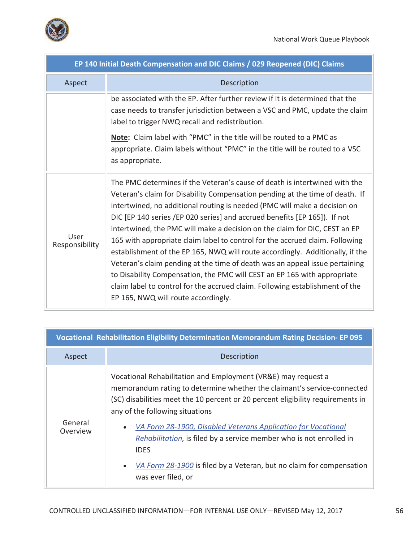

| EP 140 Initial Death Compensation and DIC Claims / 029 Reopened (DIC) Claims |                                                                                                                                                                                                                                                                                                                                                                                                                                                                                                                                                                                                                                                                                                                                                                                                                                                       |  |  |
|------------------------------------------------------------------------------|-------------------------------------------------------------------------------------------------------------------------------------------------------------------------------------------------------------------------------------------------------------------------------------------------------------------------------------------------------------------------------------------------------------------------------------------------------------------------------------------------------------------------------------------------------------------------------------------------------------------------------------------------------------------------------------------------------------------------------------------------------------------------------------------------------------------------------------------------------|--|--|
| Aspect                                                                       | Description                                                                                                                                                                                                                                                                                                                                                                                                                                                                                                                                                                                                                                                                                                                                                                                                                                           |  |  |
|                                                                              | be associated with the EP. After further review if it is determined that the<br>case needs to transfer jurisdiction between a VSC and PMC, update the claim<br>label to trigger NWQ recall and redistribution.                                                                                                                                                                                                                                                                                                                                                                                                                                                                                                                                                                                                                                        |  |  |
|                                                                              | Note: Claim label with "PMC" in the title will be routed to a PMC as<br>appropriate. Claim labels without "PMC" in the title will be routed to a VSC<br>as appropriate.                                                                                                                                                                                                                                                                                                                                                                                                                                                                                                                                                                                                                                                                               |  |  |
| User<br>Responsibility                                                       | The PMC determines if the Veteran's cause of death is intertwined with the<br>Veteran's claim for Disability Compensation pending at the time of death. If<br>intertwined, no additional routing is needed (PMC will make a decision on<br>DIC [EP 140 series /EP 020 series] and accrued benefits [EP 165]). If not<br>intertwined, the PMC will make a decision on the claim for DIC, CEST an EP<br>165 with appropriate claim label to control for the accrued claim. Following<br>establishment of the EP 165, NWQ will route accordingly. Additionally, if the<br>Veteran's claim pending at the time of death was an appeal issue pertaining<br>to Disability Compensation, the PMC will CEST an EP 165 with appropriate<br>claim label to control for the accrued claim. Following establishment of the<br>EP 165, NWQ will route accordingly. |  |  |

| <b>Vocational Rehabilitation Eligibility Determination Memorandum Rating Decision- EP 095</b> |                                                                                                                                                                                                                                                                                                                                                                                                                                                                                                                                               |  |
|-----------------------------------------------------------------------------------------------|-----------------------------------------------------------------------------------------------------------------------------------------------------------------------------------------------------------------------------------------------------------------------------------------------------------------------------------------------------------------------------------------------------------------------------------------------------------------------------------------------------------------------------------------------|--|
| Aspect                                                                                        | Description                                                                                                                                                                                                                                                                                                                                                                                                                                                                                                                                   |  |
| General<br>Overview                                                                           | Vocational Rehabilitation and Employment (VR&E) may request a<br>memorandum rating to determine whether the claimant's service-connected<br>(SC) disabilities meet the 10 percent or 20 percent eligibility requirements in<br>any of the following situations<br>VA Form 28-1900, Disabled Veterans Application for Vocational<br>$\bullet$<br>Rehabilitation, is filed by a service member who is not enrolled in<br><b>IDES</b><br>VA Form 28-1900 is filed by a Veteran, but no claim for compensation<br>$\bullet$<br>was ever filed, or |  |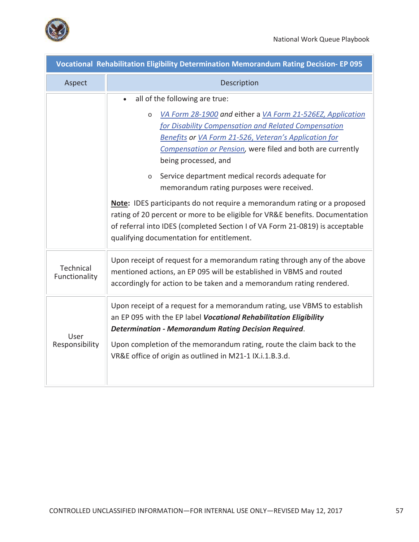

| Vocational Rehabilitation Eligibility Determination Memorandum Rating Decision- EP 095 |                                                                                                                                                                                                                                                                                                                                                                                                                                                                                                                                                                                                                                                                                                                           |  |  |
|----------------------------------------------------------------------------------------|---------------------------------------------------------------------------------------------------------------------------------------------------------------------------------------------------------------------------------------------------------------------------------------------------------------------------------------------------------------------------------------------------------------------------------------------------------------------------------------------------------------------------------------------------------------------------------------------------------------------------------------------------------------------------------------------------------------------------|--|--|
| Aspect                                                                                 | Description                                                                                                                                                                                                                                                                                                                                                                                                                                                                                                                                                                                                                                                                                                               |  |  |
|                                                                                        | all of the following are true:<br>VA Form 28-1900 and either a VA Form 21-526EZ, Application<br>$\circ$<br>for Disability Compensation and Related Compensation<br>Benefits or VA Form 21-526, Veteran's Application for<br>Compensation or Pension, were filed and both are currently<br>being processed, and<br>Service department medical records adequate for<br>$\circ$<br>memorandum rating purposes were received.<br><b>Note:</b> IDES participants do not require a memorandum rating or a proposed<br>rating of 20 percent or more to be eligible for VR&E benefits. Documentation<br>of referral into IDES (completed Section I of VA Form 21-0819) is acceptable<br>qualifying documentation for entitlement. |  |  |
| Technical<br>Functionality                                                             | Upon receipt of request for a memorandum rating through any of the above<br>mentioned actions, an EP 095 will be established in VBMS and routed<br>accordingly for action to be taken and a memorandum rating rendered.                                                                                                                                                                                                                                                                                                                                                                                                                                                                                                   |  |  |
| User<br>Responsibility                                                                 | Upon receipt of a request for a memorandum rating, use VBMS to establish<br>an EP 095 with the EP label Vocational Rehabilitation Eligibility<br><b>Determination - Memorandum Rating Decision Required.</b><br>Upon completion of the memorandum rating, route the claim back to the<br>VR&E office of origin as outlined in M21-1 IX.i.1.B.3.d.                                                                                                                                                                                                                                                                                                                                                                         |  |  |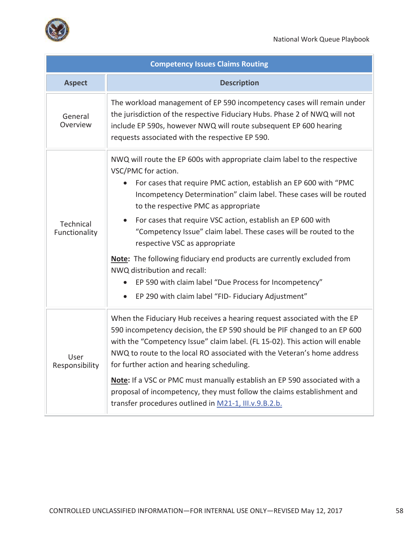

| <b>Competency Issues Claims Routing</b> |                                                                                                                                                                                                                                                                                                                                                                                                                                                                                                                                                                                                                                                                                                               |  |  |  |
|-----------------------------------------|---------------------------------------------------------------------------------------------------------------------------------------------------------------------------------------------------------------------------------------------------------------------------------------------------------------------------------------------------------------------------------------------------------------------------------------------------------------------------------------------------------------------------------------------------------------------------------------------------------------------------------------------------------------------------------------------------------------|--|--|--|
| <b>Aspect</b>                           | <b>Description</b>                                                                                                                                                                                                                                                                                                                                                                                                                                                                                                                                                                                                                                                                                            |  |  |  |
| General<br>Overview                     | The workload management of EP 590 incompetency cases will remain under<br>the jurisdiction of the respective Fiduciary Hubs. Phase 2 of NWQ will not<br>include EP 590s, however NWQ will route subsequent EP 600 hearing<br>requests associated with the respective EP 590.                                                                                                                                                                                                                                                                                                                                                                                                                                  |  |  |  |
| Technical<br>Functionality              | NWQ will route the EP 600s with appropriate claim label to the respective<br>VSC/PMC for action.<br>For cases that require PMC action, establish an EP 600 with "PMC<br>Incompetency Determination" claim label. These cases will be routed<br>to the respective PMC as appropriate<br>For cases that require VSC action, establish an EP 600 with<br>$\bullet$<br>"Competency Issue" claim label. These cases will be routed to the<br>respective VSC as appropriate<br>Note: The following fiduciary end products are currently excluded from<br>NWQ distribution and recall:<br>EP 590 with claim label "Due Process for Incompetency"<br>EP 290 with claim label "FID- Fiduciary Adjustment"<br>$\bullet$ |  |  |  |
| User<br>Responsibility                  | When the Fiduciary Hub receives a hearing request associated with the EP<br>590 incompetency decision, the EP 590 should be PIF changed to an EP 600<br>with the "Competency Issue" claim label. (FL 15-02). This action will enable<br>NWQ to route to the local RO associated with the Veteran's home address<br>for further action and hearing scheduling.<br>Note: If a VSC or PMC must manually establish an EP 590 associated with a<br>proposal of incompetency, they must follow the claims establishment and<br>transfer procedures outlined in M21-1, III.v.9.B.2.b.                                                                                                                                |  |  |  |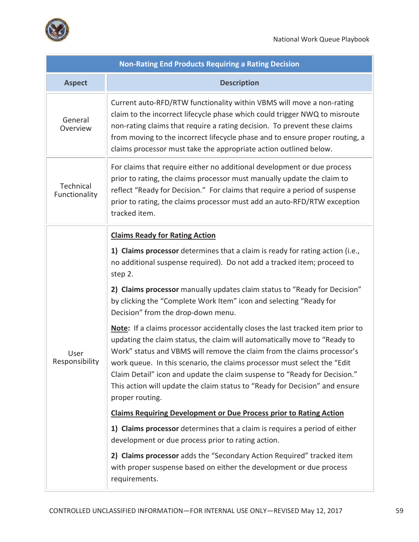

| <b>Non-Rating End Products Requiring a Rating Decision</b> |                                                                                                                                                                                                                                                                                                                                                                                                                                                                                                    |  |  |  |
|------------------------------------------------------------|----------------------------------------------------------------------------------------------------------------------------------------------------------------------------------------------------------------------------------------------------------------------------------------------------------------------------------------------------------------------------------------------------------------------------------------------------------------------------------------------------|--|--|--|
| <b>Aspect</b>                                              | <b>Description</b>                                                                                                                                                                                                                                                                                                                                                                                                                                                                                 |  |  |  |
| General<br>Overview                                        | Current auto-RFD/RTW functionality within VBMS will move a non-rating<br>claim to the incorrect lifecycle phase which could trigger NWQ to misroute<br>non-rating claims that require a rating decision. To prevent these claims<br>from moving to the incorrect lifecycle phase and to ensure proper routing, a<br>claims processor must take the appropriate action outlined below.                                                                                                              |  |  |  |
| Technical<br>Functionality                                 | For claims that require either no additional development or due process<br>prior to rating, the claims processor must manually update the claim to<br>reflect "Ready for Decision." For claims that require a period of suspense<br>prior to rating, the claims processor must add an auto-RFD/RTW exception<br>tracked item.                                                                                                                                                                      |  |  |  |
|                                                            | <b>Claims Ready for Rating Action</b>                                                                                                                                                                                                                                                                                                                                                                                                                                                              |  |  |  |
| User<br>Responsibility                                     | 1) Claims processor determines that a claim is ready for rating action (i.e.,<br>no additional suspense required). Do not add a tracked item; proceed to<br>step 2.                                                                                                                                                                                                                                                                                                                                |  |  |  |
|                                                            | 2) Claims processor manually updates claim status to "Ready for Decision"<br>by clicking the "Complete Work Item" icon and selecting "Ready for<br>Decision" from the drop-down menu.                                                                                                                                                                                                                                                                                                              |  |  |  |
|                                                            | Note: If a claims processor accidentally closes the last tracked item prior to<br>updating the claim status, the claim will automatically move to "Ready to<br>Work" status and VBMS will remove the claim from the claims processor's<br>work queue. In this scenario, the claims processor must select the "Edit"<br>Claim Detail" icon and update the claim suspense to "Ready for Decision."<br>This action will update the claim status to "Ready for Decision" and ensure<br>proper routing. |  |  |  |
|                                                            | <b>Claims Requiring Development or Due Process prior to Rating Action</b>                                                                                                                                                                                                                                                                                                                                                                                                                          |  |  |  |
|                                                            | 1) Claims processor determines that a claim is requires a period of either<br>development or due process prior to rating action.                                                                                                                                                                                                                                                                                                                                                                   |  |  |  |
|                                                            | 2) Claims processor adds the "Secondary Action Required" tracked item<br>with proper suspense based on either the development or due process<br>requirements.                                                                                                                                                                                                                                                                                                                                      |  |  |  |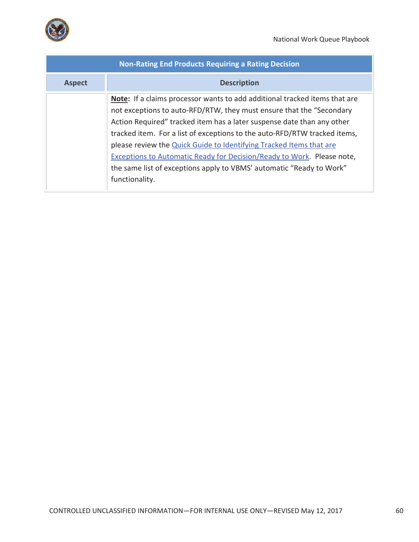

| <b>Non-Rating End Products Requiring a Rating Decision</b> |                                                                                                                                                                                                                                                                                                                                                                                                                                                                                                                                                                    |  |  |
|------------------------------------------------------------|--------------------------------------------------------------------------------------------------------------------------------------------------------------------------------------------------------------------------------------------------------------------------------------------------------------------------------------------------------------------------------------------------------------------------------------------------------------------------------------------------------------------------------------------------------------------|--|--|
| <b>Aspect</b>                                              | <b>Description</b>                                                                                                                                                                                                                                                                                                                                                                                                                                                                                                                                                 |  |  |
|                                                            | <b>Note:</b> If a claims processor wants to add additional tracked items that are<br>not exceptions to auto-RFD/RTW, they must ensure that the "Secondary<br>Action Required" tracked item has a later suspense date than any other<br>tracked item. For a list of exceptions to the auto-RFD/RTW tracked items,<br>please review the Quick Guide to Identifying Tracked Items that are<br><b>Exceptions to Automatic Ready for Decision/Ready to Work. Please note,</b><br>the same list of exceptions apply to VBMS' automatic "Ready to Work"<br>functionality. |  |  |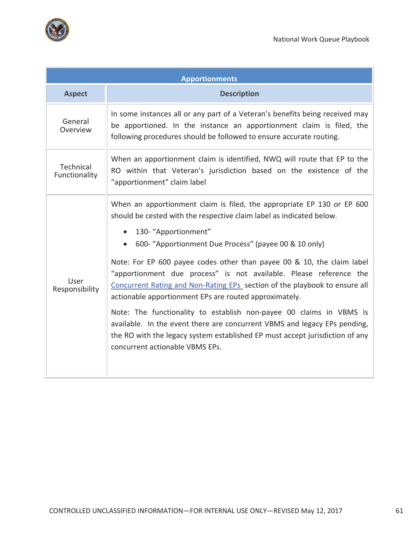

| <b>Apportionments</b>      |                                                                                                                                                                                                                                                                                                                                                                                                                                                                                                                                                                                                                                                                                                                                                                                                                         |  |  |  |
|----------------------------|-------------------------------------------------------------------------------------------------------------------------------------------------------------------------------------------------------------------------------------------------------------------------------------------------------------------------------------------------------------------------------------------------------------------------------------------------------------------------------------------------------------------------------------------------------------------------------------------------------------------------------------------------------------------------------------------------------------------------------------------------------------------------------------------------------------------------|--|--|--|
| <b>Aspect</b>              | <b>Description</b>                                                                                                                                                                                                                                                                                                                                                                                                                                                                                                                                                                                                                                                                                                                                                                                                      |  |  |  |
| General<br>Overview        | In some instances all or any part of a Veteran's benefits being received may<br>be apportioned. In the instance an apportionment claim is filed, the<br>following procedures should be followed to ensure accurate routing.                                                                                                                                                                                                                                                                                                                                                                                                                                                                                                                                                                                             |  |  |  |
| Technical<br>Functionality | When an apportionment claim is identified, NWQ will route that EP to the<br>RO within that Veteran's jurisdiction based on the existence of the<br>"apportionment" claim label                                                                                                                                                                                                                                                                                                                                                                                                                                                                                                                                                                                                                                          |  |  |  |
| User<br>Responsibility     | When an apportionment claim is filed, the appropriate EP 130 or EP 600<br>should be cested with the respective claim label as indicated below.<br>130-"Apportionment"<br>$\bullet$<br>600- "Apportionment Due Process" (payee 00 & 10 only)<br>$\bullet$<br>Note: For EP 600 payee codes other than payee 00 & 10, the claim label<br>"apportionment due process" is not available. Please reference the<br>Concurrent Rating and Non-Rating EPs section of the playbook to ensure all<br>actionable apportionment EPs are routed approximately.<br>Note: The functionality to establish non-payee 00 claims in VBMS Is<br>available. In the event there are concurrent VBMS and legacy EPs pending,<br>the RO with the legacy system established EP must accept jurisdiction of any<br>concurrent actionable VBMS EPs. |  |  |  |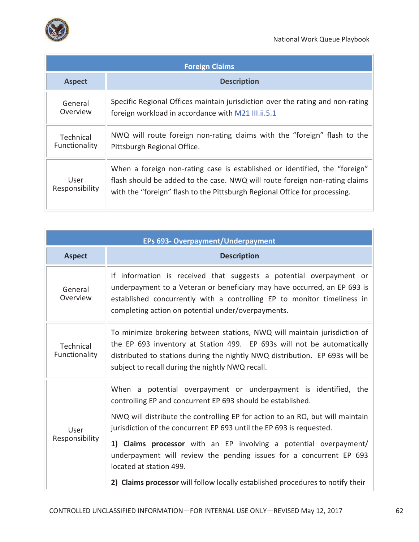

| <b>Foreign Claims</b>             |                                                                                                                                                                                                                                         |  |  |
|-----------------------------------|-----------------------------------------------------------------------------------------------------------------------------------------------------------------------------------------------------------------------------------------|--|--|
| <b>Aspect</b>                     | <b>Description</b>                                                                                                                                                                                                                      |  |  |
| General<br>Overview               | Specific Regional Offices maintain jurisdiction over the rating and non-rating<br>foreign workload in accordance with M21 III.ii.5.1                                                                                                    |  |  |
| <b>Technical</b><br>Functionality | NWQ will route foreign non-rating claims with the "foreign" flash to the<br>Pittsburgh Regional Office.                                                                                                                                 |  |  |
| User<br>Responsibility            | When a foreign non-rating case is established or identified, the "foreign"<br>flash should be added to the case. NWQ will route foreign non-rating claims<br>with the "foreign" flash to the Pittsburgh Regional Office for processing. |  |  |

| EPs 693- Overpayment/Underpayment |                                                                                                                                                                                                                                                                                         |  |  |
|-----------------------------------|-----------------------------------------------------------------------------------------------------------------------------------------------------------------------------------------------------------------------------------------------------------------------------------------|--|--|
| <b>Aspect</b>                     | <b>Description</b>                                                                                                                                                                                                                                                                      |  |  |
| General<br>Overview               | If information is received that suggests a potential overpayment or<br>underpayment to a Veteran or beneficiary may have occurred, an EP 693 is<br>established concurrently with a controlling EP to monitor timeliness in<br>completing action on potential under/overpayments.        |  |  |
| Technical<br>Functionality        | To minimize brokering between stations, NWQ will maintain jurisdiction of<br>the EP 693 inventory at Station 499. EP 693s will not be automatically<br>distributed to stations during the nightly NWQ distribution. EP 693s will be<br>subject to recall during the nightly NWQ recall. |  |  |
| User<br>Responsibility            | When a potential overpayment or underpayment is identified, the<br>controlling EP and concurrent EP 693 should be established.                                                                                                                                                          |  |  |
|                                   | NWQ will distribute the controlling EP for action to an RO, but will maintain<br>jurisdiction of the concurrent EP 693 until the EP 693 is requested.                                                                                                                                   |  |  |
|                                   | 1) Claims processor with an EP involving a potential overpayment/<br>underpayment will review the pending issues for a concurrent EP 693<br>located at station 499.                                                                                                                     |  |  |
|                                   | 2) Claims processor will follow locally established procedures to notify their                                                                                                                                                                                                          |  |  |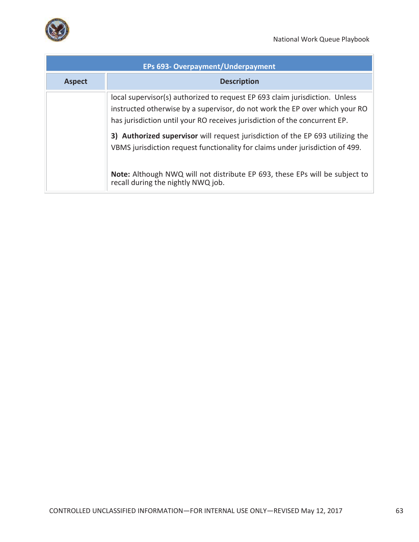

..

| EPs 693- Overpayment/Underpayment |                                                                                                                                                                                                                                          |  |  |  |
|-----------------------------------|------------------------------------------------------------------------------------------------------------------------------------------------------------------------------------------------------------------------------------------|--|--|--|
| <b>Aspect</b>                     | <b>Description</b>                                                                                                                                                                                                                       |  |  |  |
|                                   | local supervisor(s) authorized to request EP 693 claim jurisdiction. Unless<br>instructed otherwise by a supervisor, do not work the EP over which your RO<br>has jurisdiction until your RO receives jurisdiction of the concurrent EP. |  |  |  |
|                                   | 3) Authorized supervisor will request jurisdiction of the EP 693 utilizing the<br>VBMS jurisdiction request functionality for claims under jurisdiction of 499.                                                                          |  |  |  |
|                                   | Note: Although NWQ will not distribute EP 693, these EPs will be subject to<br>recall during the nightly NWQ job.                                                                                                                        |  |  |  |